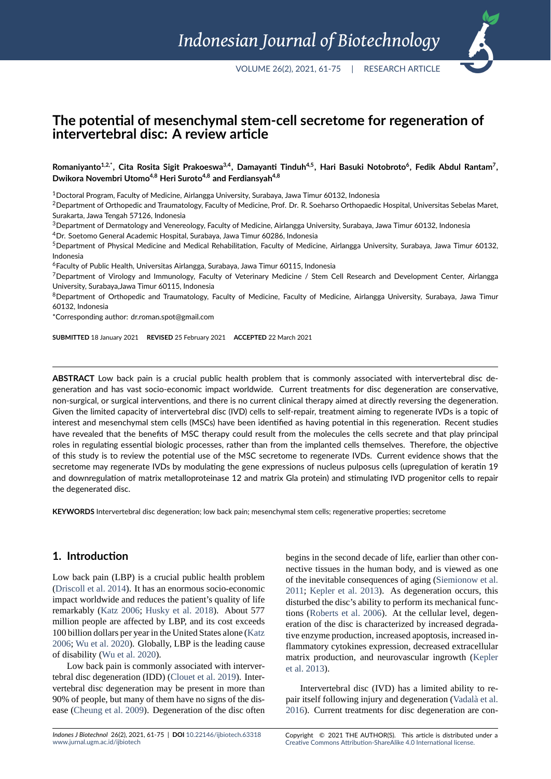# **The potential of mesenchymal stem‐cell secretome for regeneration of intervertebral disc: A review article**

 $R$ omaniyanto $^{1,2,*}$ , Cita Rosita Sigit Prakoeswa $^{3,4}$ , Damayanti Tinduh $^{4,5}$ , Hari Basuki Notobroto $^6$ , Fedik Abdul Rantam $^7$ , **Dwikora Novembri Utomo4,8 Heri Suroto4,8 and Ferdiansyah4,8**

<sup>1</sup>Doctoral Program, Faculty of Medicine, Airlangga University, Surabaya, Jawa Timur 60132, Indonesia

<sup>2</sup> Department of Orthopedic and Traumatology, Faculty of Medicine, Prof. Dr. R. Soeharso Orthopaedic Hospital, Universitas Sebelas Maret, Surakarta, Jawa Tengah 57126, Indonesia

<sup>3</sup>Department of Dermatology and Venereology, Faculty of Medicine, Airlangga University, Surabaya, Jawa Timur 60132, Indonesia

<sup>4</sup>Dr. Soetomo General Academic Hospital, Surabaya, Jawa Timur 60286, Indonesia

 $5$ Department of Physical Medicine and Medical Rehabilitation, Faculty of Medicine, Airlangga University, Surabaya, Jawa Timur 60132, Indonesia

<sup>6</sup>Faculty of Public Health, Universitas Airlangga, Surabaya, Jawa Timur 60115, Indonesia

<sup>7</sup>Department of Virology and Immunology, Faculty of Veterinary Medicine / Stem Cell Research and Development Center, Airlangga University, Surabaya,Jawa Timur 60115, Indonesia

8Department of Orthopedic and Traumatology, Faculty of Medicine, Faculty of Medicine, Airlangga University, Surabaya, Jawa Timur 60132, Indonesia

\*Corresponding author: dr.roman.spot@gmail.com

**SUBMITTED** 18 January 2021 **REVISED** 25 February 2021 **ACCEPTED** 22 March 2021

**ABSTRACT** Low back pain is a crucial public health problem that is commonly associated with intervertebral disc de‐ generation and has vast socio‐economic impact worldwide. Current treatments for disc degeneration are conservative, non‐surgical, or surgical interventions, and there is no current clinical therapy aimed at directly reversing the degeneration. Given the limited capacity of intervertebral disc (IVD) cells to self-repair, treatment aiming to regenerate IVDs is a topic of interest and mesenchymal stem cells (MSCs) have been identified as having potential in this regeneration. Recent studies have revealed that the benefits of MSC therapy could result from the molecules the cells secrete and that play principal roles in regulating essential biologic processes, rather than from the implanted cells themselves. Therefore, the objective of this study is to review the potential use of the MSC secretome to regenerate IVDs. Current evidence shows that the secretome may regenerate IVDs by modulating the gene expressions of nucleus pulposus cells (upregulation of keratin 19 and downregulation of matrix metalloproteinase 12 and matrix Gla protein) and stimulating IVD progenitor cells to repair the degenerated disc.

**KEYWORDS** Intervertebral disc degeneration; low back pain; mesenchymal stem cells; regenerative properties; secretome

#### **1. Introduction**

Low back pain (LBP) is a crucial public health problem (Driscoll et al. 2014). It has an enormous socio-economic impact worldwide and reduces the patient's quality of life remarkably (Katz 2006; Husky et al. 2018). About 577 million people are affected by LBP, and its cost exceeds [100 billion dollars pe](#page-9-0)r year in the United States alone (Katz 2006; Wu et al. 2020). Globally, LBP is the leading cause of disability [\(Wu et al.](#page-10-0) 2[020\).](#page-10-1)

Low back pain is commonly assoc[iated](#page-10-1) with intervertebral disc degeneration (IDD) (Clouet et al. 2019).I[nter](#page-10-0)[verteb](#page-10-0)[ral disc degene](#page-13-0)ration may be present in more than 90% of peopl[e, but many of t](#page-13-0)hem have no signs of the disease (Cheung et al. 2009). Degeneration of the disc often

*Indones J Biotechnol* 26(2), 2021, 61‐75 | **DOI** 10.22146/ijbiotech.63318 www.jurnal.ugm.ac.id/ijbiotech

of the inevitable consequences of aging (Siemionow et al. 2011; Kepler et al. 2013). As degeneration occurs, this disturbed the disc's ability to perform its mechanical functions (Roberts et al. 2006). At the cellular level, degeneration of the disc is characterized by in[creased degrada](#page-12-0)[tive e](#page-12-0)[nzyme produc](#page-10-2)t[ion, in](#page-10-2)creased apoptosis, increased inflammatory cytokines expression, decreased extracellular matri[x production, and n](#page-12-1)eurovascular ingrowth (Kepler et al. 2013).

begins in the second decade of life, earlier than other connective tissues in the human body, and is viewed as one

Intervertebral disc (IVD) has a limited ability to repair itself following injury and degeneration (Vada[là et al.](#page-10-2) [2016\). Cu](#page-10-2)rrent treatments for disc degeneration are con-

Copyright © 2021 THE AUTHOR(S). This article is distributed under a Creative Commons Attribution‐ShareAlike 4.0 International [license.](#page-13-1)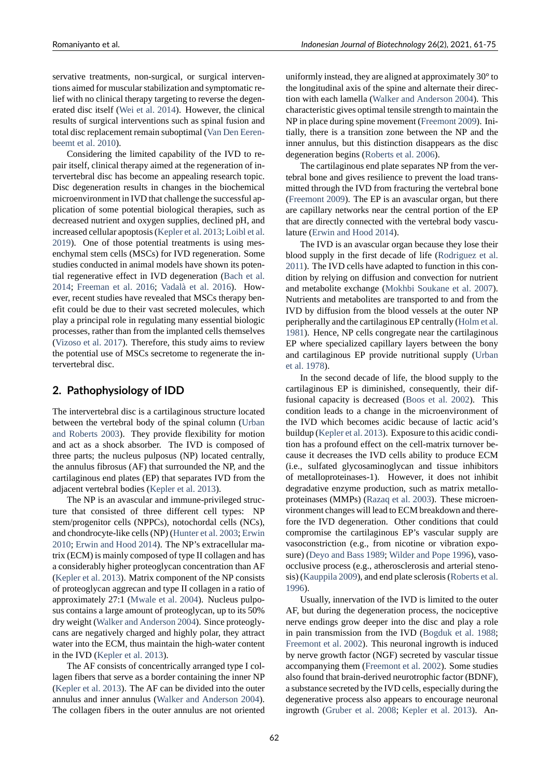servative treatments, non-surgical, or surgical interventions aimed for muscular stabilization and symptomatic relief with no clinical therapy targeting to reverse the degenerated disc itself (Wei et al. 2014). However, the clinical results of surgical interventions such as spinal fusion and total disc replacement remain suboptimal (Van Den Eerenbeemt et al. 2010).

Consideringt[he limited capa](#page-13-2)bility of the IVD to repair itself, clinical therapy aimed at the regeneration of intervertebral disc has become an appealin[g research topic.](#page-13-3) [Disc degeneratio](#page-13-3)n results in changes in the biochemical microenvironment in IVD that challenge the successful application of some potential biological therapies, such as decreased nutrient and oxygen supplies, declined pH, and increased cellular apoptosis (Kepler et al. 2013; Loibl et al. 2019). One of those potential treatments is using mesenchymal stem cells (MSCs) for IVD regeneration. Some studies conducted in animal models have shown its potential regenerative effect in I[VD degeneration \(](#page-10-2)[Bach et al.](#page-11-0) [2014;](#page-11-0) Freeman et al. 2016; Vadalà et al. 2016). However, recent studies have revealed that MSCs therapy benefit could be due to their vast secreted molecules, which play a principal role in regulating many essent[ial biologic](#page-8-0) [proce](#page-8-0)s[ses, rather than from t](#page-9-1)h[e implanted cells the](#page-13-1)mselves (Vizoso et al. 2017). Therefore, this study aims to review the potential use of MSCs secretome to regenerate the intervertebral disc.

### **2. [Pathophysio](#page-13-4)logy of IDD**

The intervertebral disc is a cartilaginous structure located between the vertebral body of the spinal column (Urban and Roberts 2003). They provide flexibility for motion and act as a shock absorber. The IVD is composed of three parts; the nucleus pulposus (NP) located centrally, the annulus fibrosus (AF) that surrounded the NP, [and the](#page-13-5) [cartilaginous end p](#page-13-5)lates (EP) that separates IVD from the adjacent vertebral bodies (Kepler et al. 2013).

The NP is an avascular and immune-privileged structure that consisted of three different cell types: NP stem/progenitor cells (NPPCs), notochordal cells (NCs), and chondrocyte-like cells [\(NP\) \(Hunter et al](#page-10-2). 2003; Erwin 2010; Erwin and Hood 2014). The NP's extracellular matrix (ECM) is mainly composed of type II collagen and has a considerably higher proteoglycan concentration than AF (Kepler et al. 2013). Matrix com[ponent of the NP c](#page-10-3)[onsists](#page-9-2) [of pro](#page-9-2)[teoglycan aggrecan and](#page-9-3) type II collagen in a ratio of approximately 27:1 (Mwale et al. 2004). Nucleus pulposus contains a large amount of proteoglycan, up to its 50% [dry weight \(Walker](#page-10-2) and Anderson 2004). Since proteoglycans are negatively charged and highly polar, they attract water into the ECM, [thus maintain the h](#page-11-1)igh-water content in the IVD (Kepler et al. 2013).

The AF [consists of concentrically a](#page-13-6)rranged type I collagen fibers that serve as a border containing the inner NP (Kepler et al. 2013). The AF can be divided into the outer annulus an[d inner annulus \(W](#page-10-2)alker and Anderson 2004). The collagen fibers in the outer annulus are not oriented uniformly instead, they are aligned at approximately 30° to the longitudinal axis of the spine and alternate their direction with each lamella (Walker and Anderson 2004). This characteristic gives optimal tensile strength to maintain the NP in place during spine movement (Freemont 2009). Initially, there is a transition zone between the NP and the inner annulus, but this [distinction disappears as th](#page-13-6)e disc degeneration begins (Roberts et al. 2006).

The cartilaginous end plate separ[ates NP from th](#page-9-4)e vertebral bone and gives resilience to prevent the load transmitted through the IVD from fracturing the vertebral bone (Freemont 2009). Th[e EP is an avascula](#page-12-1)r organ, but there are capillary networks near the central portion of the EP that are directly connected with the vertebral body vasculature (Erwin and Hood 2014).

[The IVD is a](#page-9-4)n avascular organ because they lose their blood supply in the first decade of life (Rodriguez et al. 2011). The IVD cells have adapted to function in this condition [by relying on diffusion](#page-9-3) and convection for nutrient and metabolite exchange (Mokhbi Soukane et al. 2007). Nutrients and metabolites are transporte[d to and from the](#page-12-2) [IVD](#page-12-2) by diffusion from the blood vessels at the outer NP peripherally and the cartilaginous EP centrally (Holm et al. 1981). Hence, NP cells co[ngregate near the cartilaginou](#page-11-2)s EP where specialized capillary layers between the bony and cartilaginous EP provide nutritional supply (Urban et al. 1978).

[In](#page-10-4) the second decade of life, the blood supply to the cartilaginous EP is diminished, consequently, their diffusional capacity is decreased (Boos et al. 2002). [This](#page-13-7) [condition l](#page-13-7)eads to a change in the microenvironment of the IVD which becomes acidic because of lactic acid's buildup (Kepler et al. 2013). Exposure to this acidic condition has a profound effect on the cell-matrix turnover because it decreases the IVD cells ability to produce ECM (i.e., sulfated glycosaminoglycan and tissue inhibitors of metalloproteinases-1). However, it does not inhibit degradative enzyme production, such as matrix metalloproteinases (MMPs) (Razaq et al. 2003). These microenvironment changes will lead to ECM breakdown and therefore the IVD degeneration. Other conditions that could compromise the cartilaginous EP's vascular supply are vasoconstriction (e.g[., from nicotine o](#page-12-3)r vibration exposure) (Deyo and Bass 1989; Wilder and Pope 1996), vasoocclusive process (e.g., atherosclerosis and arterial stenosis) (Kauppila 2009), and end plate sclerosis (Roberts et al. 1996).

U[sually, innervation of](#page-9-5) [the IVD is limited to th](#page-13-8)e outer AF, but during the degeneration process, the nociceptive nerv[e endings grow](#page-10-5) deeper into the disc an[d play a role](#page-12-4) [in pa](#page-12-4)in transmission from the IVD (Bogduk et al. 1988; Freemont et al. 2002). This neuronal ingrowth is induced by nerve growth factor (NGF) secreted by vascular tissue accompanying them (Freemont et al. 2002). Some studies also found that brain-derived neurotr[ophic factor \(BDNF\)](#page-8-2), [a substance secreted b](#page-9-6)y the IVD cells, especially during the degenerative process also appears to encourage neuronal ingrowth (Gruber et al. [2008;](#page-9-6) Kepl[er et a](#page-9-6)l. 2013). An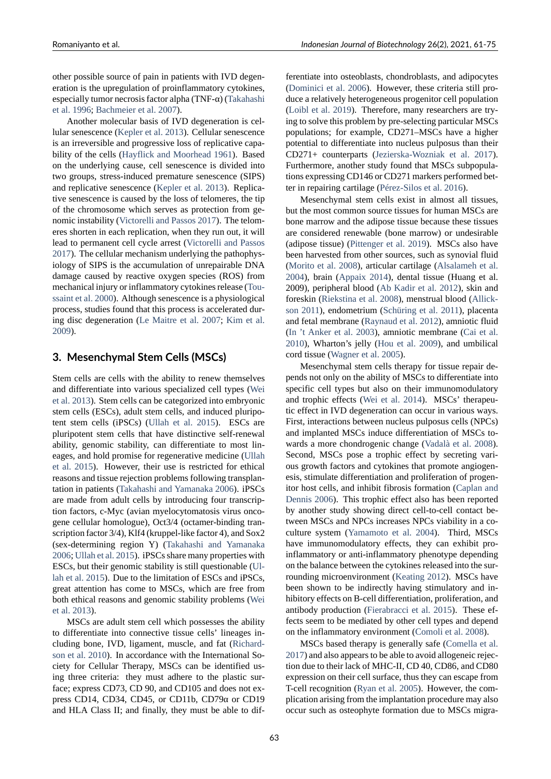other possible source of pain in patients with IVD degeneration is the upregulation of proinflammatory cytokines, especially tumor necrosis factor alpha (TNF- $\alpha$ ) (Takahashi et al. 1996; Bachmeier et al. 2007).

Another molecular basis of IVD degeneration is cellular senescence (Kepler et al. 2013). Cellular senescence is an irreversible and progressive loss of replic[ative capa](#page-12-5)[bility of th](#page-12-5)[e cells \(Hayflick and M](#page-8-3)oorhead 1961). Based on the underlying cause, cell senescence is divided into two groups, stress-induced premature senescence (SIPS) and replicative senescence (Kepler et al. 2013). Replicative senescence is [caused by the loss of telomere](#page-10-6)s, the tip of the chromosome which serves as protection from genomic instability (Victorelli and Passos 2017). The telomeres shorten in each replicat[ion, when they run](#page-10-2) out, it will lead to permanent cell cycle arrest (Victorelli and Passos 2017). The cellular mechanism underlying the pathophysiology of SIPS is [the accumulation of unrep](#page-13-9)airable DNA damage caused by reactive oxygen species (ROS) from mechanical injury or inflammatory c[ytokines release \(Tou](#page-13-9)[ssaint](#page-13-9) et al. 2000). Although senescence is a physiological process, studies found that this process is accelerated during disc degeneration (Le Maitre et al. 2007; Kim et al. 2009).

### **3. Mesenchymal [Stem Cells \(MSCs](#page-10-7))**

[Stem](#page-10-8) cells are cells with the ability to renew themselves and differentiate into various specialized cell types (Wei et al. 2013). Stem cells can be categorized into embryonic stem cells (ESCs), adult stem cells, and induced pluripotent stem cells (iPSCs) (Ullah et al. 2015). ESCs are pluripotent stem cells that have distinctive self-ren[ewal](#page-13-10) [ability, ge](#page-13-10)nomic stability, can differentiate to most lineages, and hold promise for regenerative medicine (Ullah et al. 2015). However, t[heir use is restricte](#page-13-11)d for ethical reasons and tissue rejection problems following transplantation in patients (Takahashi and Yamanaka 2006). iPSCs are made from adult cells by introducing four tran[scrip](#page-13-11)[tion factors](#page-13-11), c-Myc (avian myelocytomatosis virus oncogene cellular homologue), Oct3/4 (octamer-binding transcription factor 3/4), Klf4 (kruppel-like factor 4), and Sox2 (sex-determining region Y) (Takahashi and Yamanaka 2006; Ullah et al. 2015). iPSCs share many properties with ESCs, but their genomic stability is still questionable (Ullah et al. 2015). Due to the limitation of ESCs and iPSCs, great attention has come to [MSCs, which are free from](#page-12-6) [both](#page-12-6) [ethical reasons an](#page-13-11)d genomic stability problems (Wei et al. 2013).

[MSCs are](#page-13-11) adult stem cell which possesses the ab[ility](#page-13-11) to differentiate into connective tissue cells' lineages including bone, IVD, ligament, muscle, and fat (Rich[ard](#page-13-10)[son et al.](#page-13-10) 2010). In accordance with the International Society for Cellular Therapy, MSCs can be identified using three criteria: they must adhere to the plastic surface; express CD73, CD 90, and CD105 and doe[s not ex](#page-12-7)[press CD14, C](#page-12-7)D34, CD45, or CD11b,  $CD79α$  or CD19 and HLA Class II; and finally, they must be able to differentiate into osteoblasts, chondroblasts, and adipocytes (Dominici et al. 2006). However, these criteria still produce a relatively heterogeneous progenitor cell population (Loibl et al. 2019). Therefore, many researchers are trying to solve this problem by pre-selecting particular MSCs [populations; for exam](#page-9-7)ple, CD271–MSCs have a higher potential to differentiate into nucleus pulposus than their [CD271+ counterp](#page-11-0)arts (Jezierska-Wozniak et al. 2017). Furthermore, another study found that MSCs subpopulations expressing CD146 or CD271 markers performed better in repairing cartilage (Pérez-Silos et al. 2016).

Mesenchymal stem [cells exist in almost all](#page-10-9) t[issues](#page-10-9), but the most common source tissues for human MSCs are bone marrow and the adipose tissue because these tissues are considered renewabl[e \(bone marrow\) or un](#page-11-3)desirable (adipose tissue) (Pittenger et al. 2019). MSCs also have been harvested from other sources, such as synovial fluid (Morito et al. 2008), articular cartilage (Alsalameh et al. 2004), brain (Appaix 2014), dental tissue (Huang et al. 2009), peripheral [blood \(Ab Kadir et](#page-11-4) al. 2012), skin and foreskin (Riekstina et al. 2008), menstrual blood (Allickson [2011\), endome](#page-11-5)trium (Schüring et al. [2011\), placenta](#page-8-4) [and f](#page-8-4)etal mem[brane \(Raynau](#page-8-5)d et al. 2012), amniotic fluid (In 't Anker et al. 2003), [amniotic membrane](#page-8-6) (Cai et al. 2010), [Wharton's jelly \(Hou e](#page-12-8)t al. 2009), and u[mbilical](#page-8-7) [cord tissu](#page-8-7)e (Wagner et al. [2005\).](#page-12-9)

Mesenchymal st[em cells therapy for](#page-11-6) tissue repair de[pends not only on](#page-10-10) t[he ab](#page-10-10)ility of MSCs to differe[ntiate into](#page-8-8) [speci](#page-8-8)fic cell types but a[lso on their imm](#page-10-11)unomodulatory and trophic [effects \(Wei et al.](#page-13-12) 2014). MSCs' therapeutic effect in IVD degeneration can occur in various ways. First, interactions between nucleus pulposus cells (NPCs) and implanted MSCs induce differentiation of MSCs towards a more chond[rogenic change](#page-13-2) (Vadalà et al. 2008). Second, MSCs pose a trophic effect by secreting various growth factors and cytokines that promote angiogenesis, stimulate differentiation and proliferation of progenitor host cells, and inhibit fibrosis fo[rmation \(Caplan an](#page-13-13)d Dennis 2006). This trophic effect also has been reported by another study showing direct cell-to-cell contact between MSCs and NPCs increases NPCs viability in a coculture system (Yamamoto et al. 2004). T[hird, MSCs](#page-8-9) [have immun](#page-8-9)omodulatory effects, they can exhibit proinflammatory or anti-inflammatory phenotype depending on the balance between the cytokines released into the surrounding microe[nvironment \(Keat](#page-13-14)i[ng](#page-13-14) 2012). MSCs have been shown to be indirectly having stimulatory and inhibitory effects on B-cell differentiation, proliferation, and antibody production (Fierabracci et al. 2015). These effects seem to be mediated by [other cell type](#page-10-12)s and depend on the inflammatory environment (Comoli et al. 2008).

MSCs based therapy is generally safe (Comella et al. 2017) and also appear[s to be able to avoid allog](#page-9-8)eneic rejection due to their lack of MHC-II, CD 40, CD86, and CD80 expression on their cell surface, th[us they can escape fr](#page-9-9)om T-cell recognition (Ryan et al. 2005). How[ever, the com](#page-9-10)[plicat](#page-9-10)ion arising from the implantation procedure may also occur such as osteophyte formation due to MSCs migra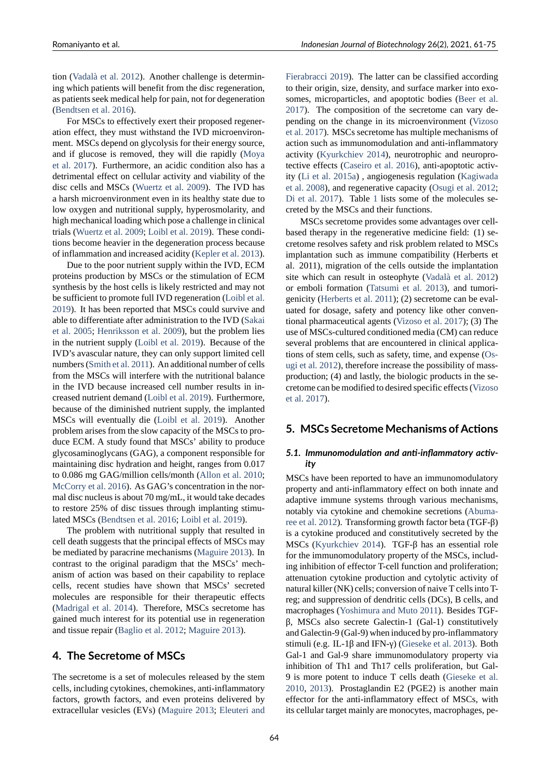tion (Vadalà et al. 2012). Another challenge is determining which patients will benefit from the disc regeneration, as patients seek medical help for pain, not for degeneration (Bendtsen et al. 2016).

F[or MSCs to effecti](#page-13-15)vely exert their proposed regeneration effect, they must withstand the IVD microenvironment. MSCs depend on glycolysis for their energy source, [and if glucose is rem](#page-8-10)oved, they will die rapidly (Moya et al. 2017). Furthermore, an acidic condition also has a detrimental effect on cellular activity and viability of the disc cells and MSCs (Wuertz et al. 2009). The IVD has a harsh microenvironment even in its healthy state [due to](#page-11-7) [low oxygen](#page-11-7) and nutritional supply, hyperosmolarity, and high mechanical loading which pose a challenge in clinical trials (Wuertz et al. 2009; [Loibl et al](#page-13-16). [2019](#page-13-16)). These conditions become heavier in the degeneration process because of inflammation and increased acidity (Kepler et al. 2013).

Due to the poor nutrient supply within the IVD, ECM protei[ns production by M](#page-13-16)[SCs or the stimu](#page-11-0)lation of ECM synthesis by the host cells is likely restricted and may not be sufficient to promote full IVD regen[eration \(Loibl et a](#page-10-2)l. 2019). It has been reported that MSCs could survive and able to differentiate after administration to the IVD (Sakai et al. 2005; Henriksson et al. 2009), but the problem lies in the nutrient supply (Loibl et al. 2019). Bec[ause of the](#page-11-0) [IVD'](#page-11-0)s avascular nature, they can only support limited cell numbers (Smith et al. 2011). An additional number o[f cells](#page-12-10) [from the M](#page-12-10)[SCs will interfere with](#page-10-13) the nutritional balance in the IVD because in[creased cell num](#page-11-0)ber results in increased nutrient demand (Loibl et al. 2019). Furthermore, because [of the diminished](#page-12-11) nutrient supply, the implanted MSCs will eventually die (Loibl et al. 2019). Another problem arises from the slow capacity of the MSCs to produce ECM. A study foun[d that MSCs' abi](#page-11-0)lity to produce glycosaminoglycans (GAG), a component responsible for maintaining disc hydration [and height, ranges](#page-11-0) from 0.017 to 0.086 mg GAG/million cells/month (Allon et al. 2010; McCorry et al. 2016). As GAG's concentration in the normal disc nucleus is about 70 mg/mL, it would take decades to restore 25% of disc tissues through implanting stimulated MSCs (Bendtsen et al. 2016; Loib[l et al.](#page-8-11) 2019[\).](#page-8-11)

[The problem wi](#page-11-8)th nutritional supply that resulted in cell death suggests that the principal effects of MSCs may be mediated by paracrine mechanisms (Maguire 2013). In contrast to t[he original paradigm](#page-8-10) [that the MSCs' m](#page-11-0)echanism of action was based on their capability to replace cells, recent studies have shown that MSCs' secreted molecules are responsible for their [therapeutic eff](#page-11-9)ects (Madrigal et al. 2014). Therefore, MSCs secretome has gained much interest for its potential use in regeneration and tissue repair (Baglio et al. 2012; Maguire 2013).

## **4. [The Secretom](#page-11-10)e of MSCs**

The secretome is [a set of molecules](#page-8-12) [released by th](#page-11-9)e stem cells, including cytokines, chemokines, anti-inflammatory factors, growth factors, and even proteins delivered by extracellular vesicles (EVs) (Maguire 2013; Eleuteri and Fierabracci 2019). The latter can be classified according to their origin, size, density, and surface marker into exosomes, microparticles, and apoptotic bodies (Beer et al. 2017). The composition of the secretome can vary de[pending on the c](#page-9-11)hange in its microenvironment (Vizoso et al. 2017). MSCs secretome has multiple mechanisms of action such as immunomodulation and anti-inf[lammatory](#page-8-13) [activi](#page-8-13)ty (Kyurkchiev 2014), neurotrophic and neuroprotective effects (Caseiro et al. 2016), anti-apoptoti[c activ](#page-13-4)[ity \(Li et a](#page-13-4)l. 2015a) , angiogenesis regulation (Kagiwada et al. 2008), and regenerative capacity (Osugi et al. 2012; Di et al. [2017\). Tabl](#page-10-14)e 1 [li](#page-10-14)sts some of the molecules secreted by the M[SCs and their funct](#page-8-14)ions.

[MSCs secretom](#page-10-15)e provides some advantage[s over cell](#page-10-16)[based thera](#page-10-16)py in the regenerative medi[cine field: \(1\) se](#page-11-11)[cretome resolv](#page-9-12)es safety [a](#page-4-0)nd risk problem related to MSCs implantation such as immune compatibility (Herberts et al. 2011), migration of the cells outside the implantation site which can result in osteophyte (Vadalà et al. 2012) or emboli formation (Tatsumi et al. 2013), and tumorigenicity (Herberts et al. 2011); (2) secretome can be evaluated for dosage, safety and potency like other conventional pharmaceutical agents (Vizoso et al. [2017\); \(3\) The](#page-13-15) use of MSCs-cultured [conditioned media \(C](#page-12-12)M) can reduce several p[roblems that are enc](#page-10-17)ountered in clinical applications of stem cells, such as safety, time, and expense (Osugi et al. 2012), therefore incr[ease the possibility](#page-13-4) of massproduction; (4) and lastly, the biologic products in the secretome can be modified to desired specific effects (Vizoso et al. 2017).

## **5. MSCs Secretome Mechanisms of A[ctions](#page-13-4)**

#### *[5.1.](#page-13-4) [Immu](#page-13-4)nomodulation and anti‐inflammatory activ‐ ity*

MSCs have been reported to have an immunomodulatory property and anti-inflammatory effect on both innate and adaptive immune systems through various mechanisms, notably via cytokine and chemokine secretions (Abumaree et al. 2012). Transforming growth factor beta (TGF- $\beta$ ) is a cytokine produced and constitutively secreted by the MSCs (Kyurkchiev 2014). TGF- $\beta$  has an essential role for the immunomodulatory property of the MSCs[, includ](#page-8-15)[ing inhibition](#page-8-15) of effector T-cell function and proliferation; attenuation cytokine production and cytolytic activity of natural [killer \(NK\) cells; co](#page-10-14)nversion of naive T cells into Treg; and suppression of dendritic cells (DCs), B cells, and macrophages (Yoshimura and Muto 2011). Besides TGF $β$ , MSCs also secrete Galectin-1 (Gal-1) constitutively and Galectin-9 (Gal-9) when induced by pro-inflammatory stimuli (e.g. IL-1β and IFN-y) (Gieseke et al. 2013). Both Gal-1 and Gal-9 share immunomodulatory property via inhibition of Th1 and Th17 cells proliferation, but Gal-9 is more potent to induce T cells death (Gieseke et al. 2010, 2013). Prostaglandin E[2 \(PGE2\) is anothe](#page-9-13)r main effector for the anti-inflammatory effect of MSCs, with its cellular target mainly are monocytes, macrophages, pe-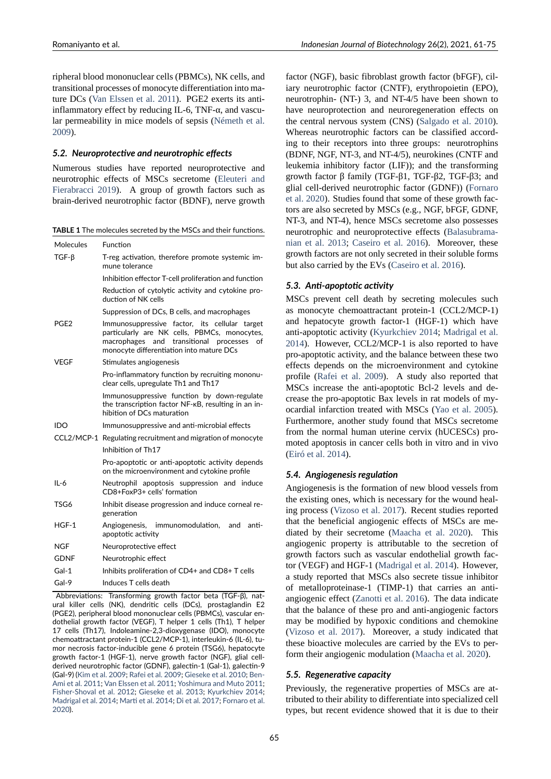ripheral blood mononuclear cells (PBMCs), NK cells, and transitional processes of monocyte differentiation into mature DCs (Van Elssen et al. 2011). PGE2 exerts its antiinflammatory effect by reducing IL-6, TNF- $\alpha$ , and vascular permeability in mice models of sepsis (Németh et al. 2009).

### *5.2. Neur[oprotective and neuro](#page-13-18)trophic effects*

Numerous studies have reported neurop[rotective and](#page-11-12) [neuro](#page-11-12)trophic effects of MSCs secretome (Eleuteri and Fierabracci 2019). A group of growth factors such as brain-derived neurotrophic factor (BDNF), nerve growth

| TABLE 1 The molecules secreted by the MSCs and their functions. |  |
|-----------------------------------------------------------------|--|
|-----------------------------------------------------------------|--|

<span id="page-4-0"></span>

| <b>Molecules</b> | Function                                                                                                                                                                                  |
|------------------|-------------------------------------------------------------------------------------------------------------------------------------------------------------------------------------------|
| $TGF-\beta$      | T-reg activation, therefore promote systemic im-<br>mune tolerance                                                                                                                        |
|                  | Inhibition effector T-cell proliferation and function                                                                                                                                     |
|                  | Reduction of cytolytic activity and cytokine pro-<br>duction of NK cells                                                                                                                  |
|                  | Suppression of DCs, B cells, and macrophages                                                                                                                                              |
| PGE2             | Immunosuppressive factor, its cellular target<br>particularly are NK cells, PBMCs, monocytes,<br>macrophages and transitional processes<br>of<br>monocyte differentiation into mature DCs |
| VEGF             | Stimulates angiogenesis                                                                                                                                                                   |
|                  | Pro-inflammatory function by recruiting mononu-<br>clear cells, upregulate Th1 and Th17                                                                                                   |
|                  | Immunosuppressive function by down-regulate<br>the transcription factor NF-KB, resulting in an in-<br>hibition of DCs maturation                                                          |
| IDO              | Immunosuppressive and anti-microbial effects                                                                                                                                              |
|                  | CCL2/MCP-1 Regulating recruitment and migration of monocyte                                                                                                                               |
|                  | Inhibition of Th17                                                                                                                                                                        |
|                  | Pro-apoptotic or anti-apoptotic activity depends<br>on the microenvironment and cytokine profile                                                                                          |
| $IL-6$           | Neutrophil apoptosis suppression and induce<br>CD8+FoxP3+ cells' formation                                                                                                                |
| TSG6             | Inhibit disease progression and induce corneal re-<br>generation                                                                                                                          |
| $HGF-1$          | Angiogenesis, immunomodulation,<br>anti-<br>and<br>apoptotic activity                                                                                                                     |
| NGF              | Neuroprotective effect                                                                                                                                                                    |
| GDNF             | Neurotrophic effect                                                                                                                                                                       |
| Gal-1            | Inhibits proliferation of CD4+ and CD8+ T cells                                                                                                                                           |
| Gal-9            | Induces T cells death                                                                                                                                                                     |

Abbreviations: Transforming growth factor beta (TGF‐β), nat‐ ural killer cells (NK), dendritic cells (DCs), prostaglandin E2 (PGE2), peripheral blood mononuclear cells (PBMCs), vascular en‐ dothelial growth factor (VEGF), T helper 1 cells (Th1), T helper 17 cells (Th17), Indoleamine‐2,3‐dioxygenase (IDO), monocyte chemoattractant protein‐1 (CCL2/MCP‐1), interleukin‐6 (IL‐6), tu‐ mor necrosis factor‐inducible gene 6 protein (TSG6), hepatocyte growth factor‐1 (HGF‐1), nerve growth factor (NGF), glial cell‐ derived neurotrophic factor (GDNF), galectin‐1 (Gal‐1), galectin‐9 (Gal‐9) (Kim et al. 2009; Rafei et al. 2009; Gieseke et al. 2010; Ben‐ Ami et al. 2011; Van Elssen et al. 2011; Yoshimura and Muto 2011; Fisher‐Shoval et al. 2012; Gieseke et al. 2013; Kyurkchiev 2014; Madrigal et al. 2014; Marti et al. 2014; Di et al. 2017; Fornaro et al. 2020).

factor (NGF), basic fibroblast growth factor (bFGF), ciliary neurotrophic factor (CNTF), erythropoietin (EPO), neurotrophin- (NT-) 3, and NT-4/5 have been shown to have neuroprotection and neuroregeneration effects on the central nervous system (CNS) (Salgado et al. 2010). Whereas neurotrophic factors can be classified according to their receptors into three groups: neurotrophins (BDNF, NGF, NT-3, and NT-4/5), neurokines (CNTF and leukemia inhibitory factor (LIF)); [and the transformin](#page-12-13)g growth factor  $β$  family (TGF- $β1$ , TGF- $β2$ , TGF- $β3$ ; and glial cell-derived neurotrophic factor (GDNF)) (Fornaro et al. 2020). Studies found that some of these growth factors are also secreted by MSCs (e.g., NGF, bFGF, GDNF, NT-3, and NT-4), hence MSCs secretome also possesses neurotrophic and neuroprotective effects (Balas[ubrama](#page-9-14)[nian et al.](#page-9-14) 2013; Caseiro et al. 2016). Moreover, these growth factors are not only secreted in their soluble forms but also carried by the EVs (Caseiro et al. 2016).

### *5.3. [Anti‐apopt](#page-8-16)[otic activity](#page-8-14)*

MSCs prevent cell death by secreting molecules such as monocyte chemoattractant protein-1 (CCL2/MCP-1) and hepatocyte growth factor-1  $(HGF-1)$  which have anti-apoptotic activity (Kyurkchiev 2014; Madrigal et al. 2014). However, CCL2/MCP-1 is also reported to have pro-apoptotic activity, and the balance between these two effects depends on the microenvironment and cytokine profile (Rafei et al. 2[009\). A study als](#page-10-14)[o reported that](#page-11-10) [MSC](#page-11-10)s increase the anti-apoptotic Bcl-2 levels and decrease the pro-apoptotic Bax levels in rat models of myocardial infarction treated with MSCs (Yao et al. 2005). Further[more, another stud](#page-11-13)y found that MSCs secretome from the normal human uterine cervix (hUCESCs) promoted apoptosis in cancer cells both in vitro and in vivo (Eiró et al. 2014).

### *5.4. Angiogenesis regulation*

Angiogenesis is the formation of new blood vessels from t[he existing ones](#page-9-15), which is necessary for the wound healing process (Vizoso et al. 2017). Recent studies reported that the beneficial angiogenic effects of MSCs are mediated by their secretome (Maacha et al. 2020). This angiogenic property is attributable to the secretion of growth facto[rs such as vascula](#page-13-4)r endothelial growth factor (VEGF) and HGF-1 (Madrigal et al. 2014). However, a study reported that MSCs [also secrete tissue i](#page-11-14)nhibitor of metalloproteinase-1 (TIMP-1) that carries an antiangiogenic effect (Zanotti et al. 2016). The data indicate that the balance of these pro and anti-angiogenic factors may be modified by hypoxic conditions and chemokine (Vizoso et al. 2017). Moreover, a study indicated that these bioactive m[olecules are carried](#page-13-19) by the EVs to perform their angiogenic modulation (Maacha et al. 2020).

#### *5.5. [Regenerative c](#page-13-4)apacity*

Previously, the regenerative properties of MSCs are attributed to their ability to differenti[ate into specialized c](#page-11-14)ell types, but recent evidence showed that it is due to their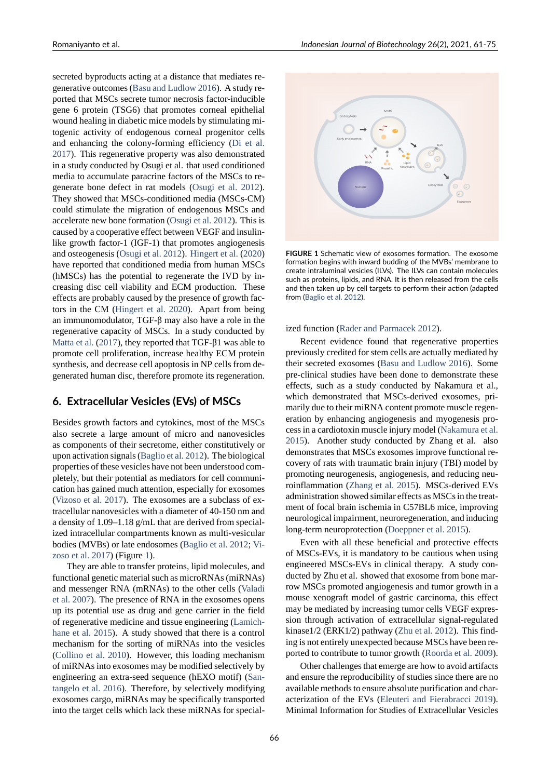secreted byproducts acting at a distance that mediates regenerative outcomes (Basu and Ludlow 2016). A study reported that MSCs secrete tumor necrosis factor-inducible gene 6 protein (TSG6) that promotes corneal epithelial wound healing in diabetic mice models by stimulating mitogenic activity of e[ndogenous corneal pro](#page-8-17)genitor cells and enhancing the colony-forming efficiency (Di et al. 2017). This regenerative property was also demonstrated in a study conducted by Osugi et al. that used conditioned media to accumulate paracrine factors of the MSCs to regenerate bone defect in rat models (Osugi et al. [2012\).](#page-9-12) [They](#page-9-12) showed that MSCs-conditioned media (MSCs-CM) could stimulate the migration of endogenous MSCs and accelerate new bone formation (Osugi et al. 2012). This is caused by a cooperative effect betwee[n VEGF and insulin](#page-11-11)like growth factor-1 (IGF-1) that promotes angiogenesis and osteogenesis (Osugi et al. 2012). Hingert et al. (2020) have reported that conditioned [media from huma](#page-11-11)n MSCs (hMSCs) has the potential to regenerate the IVD by increasing disc cell viability and ECM production. These effects are probab[ly caused by the p](#page-11-11)re[sence of growth fac](#page-10-18)tors in the CM (Hingert et al. 2020). Apart from being an immunomodulator,  $TGF- $\beta$  may also have a role in the$ regenerative capacity of MSCs. In a study conducted by Matta et al. (2017), they reported that  $TGF- $\beta$ 1 was able to$ promote cell pro[liferation, increase h](#page-10-18)ealthy ECM protein synthesis, and decrease cell apoptosis in NP cells from degenerated human disc, therefore promote its regeneration.

### **6. Extracellular Vesicles (EVs) of MSCs**

Besides growth factors and cytokines, most of the MSCs also secrete a large amount of micro and nanovesicles as components of their secretome, either constitutively or upon activation signals (Baglio et al. 2012). The biological properties of these vesicles have not been understood completely, but their potential as mediators for cell communication has gained much attention, especially for exosomes (Vizoso et al. 2017). T[he exosomes are a](#page-8-12) subclass of extracellular nanovesicles with a diameter of 40-150 nm and a density of 1.09–1.18 g/mL that are derived from specialized intracellular compartments known as multi-vesicular [bodies \(MVBs\) or l](#page-13-4)ate endosomes (Baglio et al. 2012; Vizoso et al. 2017) (Figure 1).

They are able to transfer proteins, lipid molecules, and functional genetic material such as microRNAs (miRNAs) and messenger RNA (mRNAs) to [the other cells \(Va](#page-8-12)[ladi](#page-13-4) [et al.](#page-13-4) 2007[\). The](#page-13-4) presenc[e](#page-5-0) of RNA in the exosomes opens up its potential use as drug and gene carrier in the field of regenerative medicine and tissue engineering (Lamichhane et al. 2015). A study showed that there is a [control](#page-13-20) [mechanism](#page-13-20) for the sorting of miRNAs into the vesicles (Collino et al. 2010). However, this loading mechanism of miRNAs into exosomes may be modified selec[tively by](#page-10-19) [engineering an e](#page-10-19)xtra-seed sequence (hEXO motif) (Santangelo et al. 2016). Therefore, by selectively modifying [exosomes cargo, miR](#page-8-18)NAs may be specifically transported into the target cells which lack these miRNAs for special-

<span id="page-5-0"></span>

**FIGURE 1** Schematic view of exosomes formation. The exosome formation begins with inward budding of the MVBs' membrane to create intraluminal vesicles (ILVs). The ILVs can contain molecules such as proteins, lipids, and RNA. It is then released from the cells and then taken up by cell targets to perform their action (adapted from (Baglio et al. 2012).

ized function (Rader and Parmacek 2012).

[Recent evidence](#page-8-12) found that regenerative properties previously credited for stem cells are actually mediated by their secreted exosomes (Basu and Ludlow 2016). Some pre-clinical st[udies have been done to de](#page-11-15)monstrate these effects, such as a study conducted by Nakamura et al., which demonstrated that MSCs-derived exosomes, primarily due to their miRN[A content promote muscl](#page-8-17)e regeneration by enhancing angiogenesis and myogenesis process in a cardiotoxin muscle injury model (Nakamura et al. 2015). Another study conducted by Zhang et al. also demonstrates that MSCs exosomes improve functional recovery of rats with traumatic brain injury (TBI) model by promoting neurogenesis, angiogenesis, an[d reducing neu](#page-11-16)[roinfl](#page-11-16)ammation (Zhang et al. 2015). MSCs-derived EVs administration showed similar effects as MSCs in the treatment of focal brain ischemia in C57BL6 mice, improving neurological impairment, neuroregeneration, and inducing long-term neuro[protection \(Doeppn](#page-14-0)er et al. 2015).

Even with all these beneficial and protective effects of MSCs-EVs, it is mandatory to be cautious when using engineered MSCs-EVs in clinical therapy. A study conducted by Zhu et al. showe[d that exosome from b](#page-9-16)one marrow MSCs promoted angiogenesis and tumor growth in a mouse xenograft model of gastric carcinoma, this effect may be mediated by increasing tumor cells VEGF expression through activation of extracellular signal-regulated kinase1/2 (ERK1/2) pathway (Zhu et al. 2012). This finding is not entirely unexpected because MSCs have been reported to contribute to tumor growth (Roorda et al. 2009).

Other challenges that emerge are how to avoid artifacts and ensure the reproducibility [of studies since](#page-14-1) there are no available methods to ensure absolute purification and characterization of the EVs (Eleuteri an[d Fierabracci](#page-12-14) [2019\)](#page-12-14). Minimal Information for Studies of Extracellular Vesicles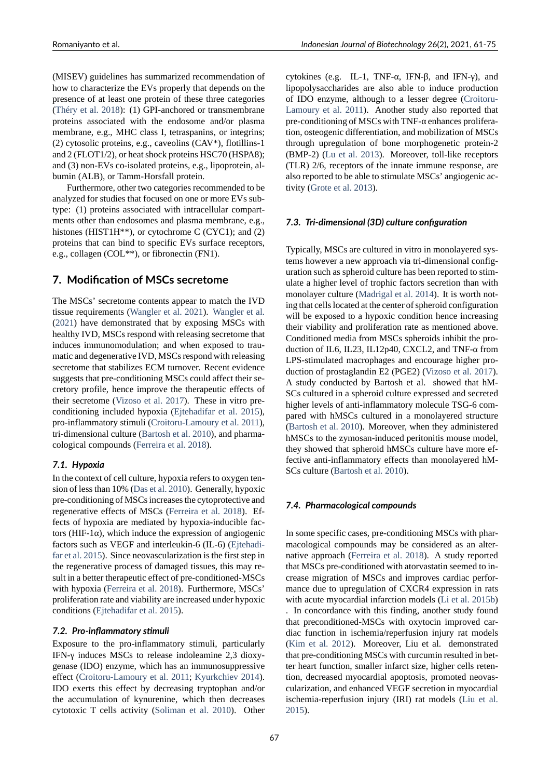Romaniyanto et al. *Indonesian Journal of Biotechnology* 26(2), 2021, 61‐75

(MISEV) guidelines has summarized recommendation of how to characterize the EVs properly that depends on the presence of at least one protein of these three categories (Théry et al. 2018): (1) GPI-anchored or transmembrane proteins associated with the endosome and/or plasma membrane, e.g., MHC class I, tetraspanins, or integrins; (2) cytosolic proteins, e.g., caveolins  $(CAV^*)$ , flotillins-1 [and 2 \(FLOT1/2\), o](#page-12-15)r heat shock proteins HSC70 (HSPA8); and  $(3)$  non-EVs co-isolated proteins, e.g., lipoprotein, albumin (ALB), or Tamm-Horsfall protein.

Furthermore, other two categories recommended to be analyzed for studies that focused on one or more EVs subtype: (1) proteins associated with intracellular compartments other than endosomes and plasma membrane, e.g., histones (HIST1H\*\*), or cytochrome C (CYC1); and (2) proteins that can bind to specific EVs surface receptors, e.g., collagen (COL\*\*), or fibronectin (FN1).

### **7. Modification of MSCs secretome**

The MSCs' secretome contents appear to match the IVD tissue requirements (Wangler et al. 2021). Wangler et al. (2021) have demonstrated that by exposing MSCs with healthy IVD, MSCs respond with releasing secretome that induces immunomodulation; and when exposed to traumatic and degenerati[ve IVD, MSCs respon](#page-13-21)d [with releasing](#page-13-21) [secreto](#page-13-21)me that stabilizes ECM turnover. Recent evidence suggests that pre-conditioning MSCs could affect their secretory profile, hence improve the therapeutic effects of their secretome (Vizoso et al. 2017). These in vitro preconditioning included hypoxia (Ejtehadifar et al. 2015), pro-inflammatory stimuli (Croitoru-Lamoury et al. 2011), tri-dimensional culture (Bartosh et al. 2010), and pharmacological compo[unds \(Ferreira et al.](#page-13-4) 2018).

#### *7.1. Hypoxia*

In the context of cell cul[ture, hypoxia refers](#page-8-19) to oxygen tension of less than 10% ([Das et al.](#page-9-17) 2010[\). Gen](#page-9-17)erally, hypoxic pre-conditioning of MSCs increases the cytoprotective and regenerative effects of MSCs (Ferreira et al. 2018). Effects of hypoxia are mediated by hypoxia-inducible factors (HIF-1 $\alpha$ ), which [induce the expr](#page-9-18)ession of angiogenic factors such as VEGF and interleukin-6 (IL-6) (Ejtehadifar et al. 2015). Since neovascu[larization is the first s](#page-9-17)tep in the regenerative process of damaged tissues, this may result in a better therapeutic effect of pre-conditioned-MSCs with hypoxia (Ferreira et al. 2018). Furthermor[e, MSCs'](#page-9-19) [proliferation r](#page-9-19)ate and viability are increased under hypoxic conditions (Ejtehadifar et al. 2015).

#### *7.2. Pro‐infla[mmatory stimuli](#page-9-17)*

Exposure to the pro-inflammatory stimuli, particularly IFN-γ indu[ces MSCs to release i](#page-9-19)ndoleamine 2,3 dioxygenase (IDO) enzyme, which has an immunosuppressive effect (Croitoru-Lamoury et al. 2011; Kyurkchiev 2014). IDO exerts this effect by decreasing tryptophan and/or the accumulation of kynurenine, which then decreases cytotoxic T cells activity (Soliman et al. 2010). Other cytokines (e.g. IL-1, TNF- $\alpha$ , IFN- $\beta$ , and IFN- $\gamma$ ), and lipopolysaccharides are also able to induce production of IDO enzyme, although to a lesser degree (Croitoru-Lamoury et al. 2011). Another study also reported that pre-conditioning of MSCs with TNF- $α$  enhances proliferation, osteogenic differentiation, and mobilization of MSCs through upregulation of bone morphogenetic protein-2 (BMP-2) (Lu et al. 2013). Moreover, toll-like receptors (TLR) 2/6, receptors of the innate immune response, are also reported to be able to stimulate MSCs' angiogenic activity (Grote et al. 2013).

#### *7.3. Tri‐dimensional (3D) culture configuration*

Typically, MSCs are cultured in vitro in monolayered systems however a new approach via tri-dimensional configuration such as spheroid culture has been reported to stimulate a higher level of trophic factors secretion than with monolayer culture (Madrigal et al. 2014). It is worth noting that cells located at the center of spheroid configuration will be exposed to a hypoxic condition hence increasing their viability and proliferation rate as mentioned above. Conditioned media [from MSCs spheroid](#page-11-10)s inhibit the production of IL6, IL23, IL12p40, CXCL2, and TNF- $\alpha$  from LPS-stimulated macrophages and encourage higher production of prostaglandin E2 (PGE2) (Vizoso et al. 2017). A study conducted by Bartosh et al. showed that hM-SCs cultured in a spheroid culture expressed and secreted higher levels of anti-inflammatory molecule TSG-6 compared with hMSCs cultured in a m[onolayered structur](#page-13-4)e (Bartosh et al. 2010). Moreover, when they administered hMSCs to the zymosan-induced peritonitis mouse model, they showed that spheroid hMSCs culture have more effective anti-inflammatory effects than monolayered hM-[SCs culture \(Bartosh](#page-8-19) et al. 2010).

### *7.4. Pharmacological compounds*

In some specific cases, pre-conditioning MSCs with pharmacological compounds may be considered as an alternative approach (Ferreira et al. 2018). A study reported that MSCs pre-conditioned with atorvastatin seemed to increase migration of MSCs and improves cardiac performance due to upregulation of CXCR4 expression in rats with acute myoca[rdial infarction mod](#page-9-17)els (Li et al. 2015b) . In concordance with this finding, another study found that preconditioned-MSCs with oxytocin improved cardiac function in ischemia/reperfusion injury rat models (Kim et al. 2012). Moreover, Liu et al[. demonstrated](#page-10-20) that pre-conditioning MSCs with curcumin resulted in better heart function, smaller infarct size, higher cells retention, decreased myocardial apoptosis, promoted neovas[cularization](#page-10-21), [and e](#page-10-21)nhanced VEGF secretion in myocardial ischemia-reperfusion injury (IRI) rat models (Liu et al. 2015).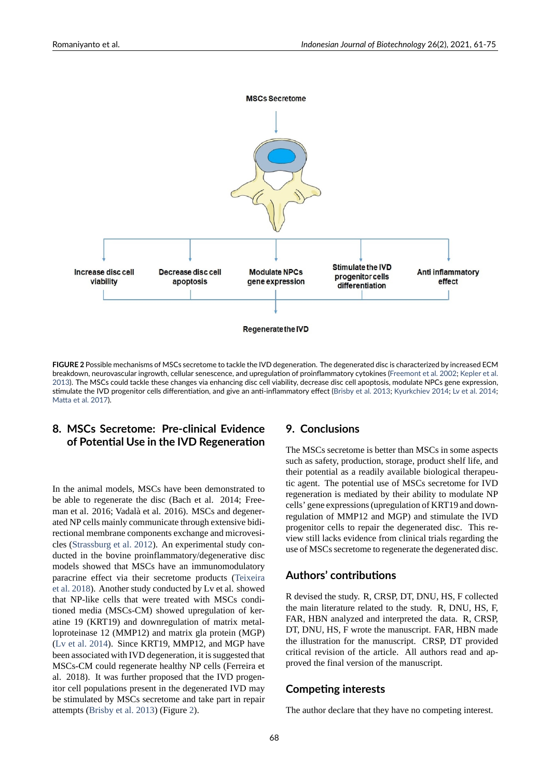

**FIGURE 2** Possible mechanisms of MSCs secretome to tackle the IVD degeneration. The degenerated disc is characterized by increased ECM breakdown, neurovascular ingrowth, cellular senescence, and upregulation of proinflammatory cytokines (Freemont et al. 2002; Kepler et al. 2013). The MSCs could tackle these changes via enhancing disc cell viability, decrease disc cell apoptosis, modulate NPCs gene expression, stimulate the IVD progenitor cells differentiation, and give an anti-inflammatory effect (Brisby et al. 2013; Kyurkchiev 2014; Lv et al. 2014; Matta et al. 2017).

## **[8.](#page-10-2) MSCs Secretome: Pre‐clinical Evidence [of Poten](#page-11-17)tial Use in the IVD Regeneration**

In the animal models, MSCs have been demonstrated to be able to regenerate the disc (Bach et al. 2014; Freeman et al. 2016; Vadalà et al. 2016). MSCs and degenerated NP cells mainly communicate through extensive bidirectional membrane components exchange and microvesicles (Strassburg et al. 2012). An experimental study conducted in the bovine proinflammatory/degenerative disc models showed that MSCs have an immunomodulatory paracrine effect via their secretome products (Teixeira et al. [2018\). Another study](#page-12-16) conducted by Lv et al. showed that NP-like cells that were treated with MSCs conditioned media (MSCs-CM) showed upregulation of keratine 19 (KRT19) and downregulation of matri[x metal](#page-12-17)[loproteinas](#page-12-17)e 12 (MMP12) and matrix gla protein (MGP) (Lv et al. 2014). Since KRT19, MMP12, and MGP have been associated with IVD degeneration, it is suggested that MSCs-CM could regenerate healthy NP cells (Ferreira et al. 2018). It was further proposed that the IVD progeni[tor cell popula](#page-11-18)tions present in the degenerated IVD may be stimulated by MSCs secretome and take part in repair attempts (Brisby et al. 2013) (Figure 2).

## **9. Concl[usions](#page-8-20)**

The MSCs secretome is better than MSCs in some aspects such as safety, production, storage, product shelf life, and their potential as a readily available biological therapeutic agent. The potential use of MSCs secretome for IVD regeneration is mediated by their ability to modulate NP cells' gene expressions (upregulation of KRT19 and downregulation of MMP12 and MGP) and stimulate the IVD progenitor cells to repair the degenerated disc. This review still lacks evidence from clinical trials regarding the use of MSCs secretome to regenerate the degenerated disc.

### **Authors' contributions**

R devised the study. R, CRSP, DT, DNU, HS, F collected the main literature related to the study. R, DNU, HS, F, FAR, HBN analyzed and interpreted the data. R, CRSP, DT, DNU, HS, F wrote the manuscript. FAR, HBN made the illustration for the manuscript. CRSP, DT provided critical revision of the article. All authors read and approved the final version of the manuscript.

### **Competing interests**

The author declare that they have no competing interest.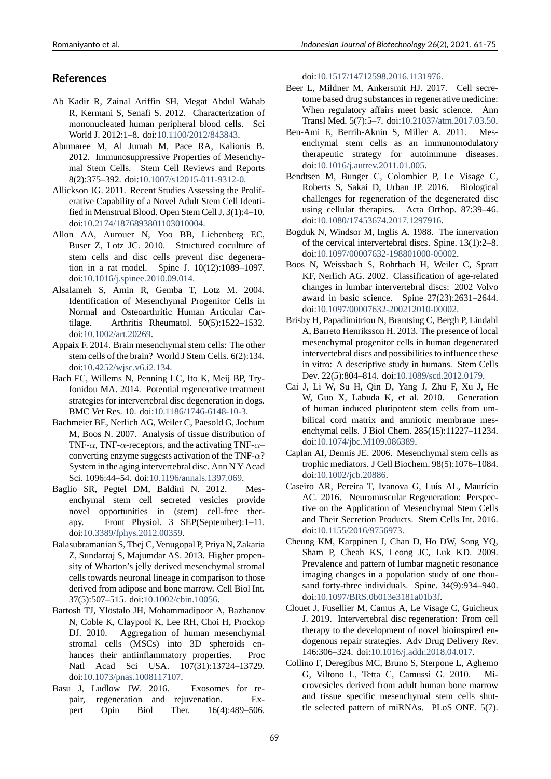## **References**

- Ab Kadir R, Zainal Ariffin SH, Megat Abdul Wahab R, Kermani S, Senafi S. 2012. Characterization of mononucleated human peripheral blood cells. Sci World J. 2012:1–8. doi:10.1100/2012/843843.
- <span id="page-8-6"></span>Abumaree M, Al Jumah M, Pace RA, Kalionis B. 2012. Immunosuppressive Properties of Mesenchymal Stem Cells. Stem Cell Reviews and Reports 8(2):375-392. doi:10.1007/s12015-011-9312-0.
- <span id="page-8-15"></span>Allickson JG. 2011. Recent Studies Assessing the Proliferative Capability of a Novel Adult Stem Cell Identified in Menstrual Blood. Open Stem Cell J. 3(1):4–10. doi:10.2174/1876[893801103010004.](https://doi.org/10.1007/s12015-011-9312-0)
- <span id="page-8-7"></span>Allon AA, Aurouer N, Yoo BB, Liebenberg EC, Buser Z, Lotz JC. 2010. Structured coculture of stem cells and disc cells prevent disc degeneratio[n in a rat model. Spine J. 10\(](https://doi.org/10.2174/1876893801103010004)12):1089–1097. doi:10.1016/j.spinee.2010.09.014.
- <span id="page-8-11"></span>Alsalameh S, Amin R, Gemba T, Lotz M. 2004. Identification of Mesenchymal Progenitor Cells in Normal and Osteoarthritic Human Articular Cartila[ge. Arthritis Rheumatol.](https://doi.org/10.1016/j.spinee.2010.09.014) 50(5):1522–1532. doi:10.1002/art.20269.
- <span id="page-8-4"></span>Appaix F. 2014. Brain mesenchymal stem cells: The other stem cells of the brain? World J Stem Cells. 6(2):134. doi:10.4252/wjsc.v6.i2.134.
- <span id="page-8-5"></span>Bach F[C, Willems N, Pen](https://doi.org/10.1002/art.20269)ning LC, Ito K, Meij BP, Tryfonidou MA. 2014. Potential regenerative treatment strategies for intervertebral disc degeneration in dogs. B[MC Vet Res. 10. doi:10.11](https://doi.org/10.4252/wjsc.v6.i2.134)86/1746-6148-10-3.
- <span id="page-8-0"></span>Bachmeier BE, Nerlich AG, Weiler C, Paesold G, Jochum M, Boos N. 2007. Analysis of tissue distribution of TNF- $\alpha$ , TNF- $\alpha$ -receptors, and the activating TNF- $\alpha$ – converting enzyme sug[gests activation of the TN](https://doi.org/10.1186/1746-6148-10-3)F- $\alpha$ ? System in the aging intervertebral disc. Ann N Y Acad Sci. 1096:44–54. doi:10.1196/annals.1397.069.
- <span id="page-8-3"></span>Baglio SR, Pegtel DM, Baldini N. 2012. Mesenchymal stem cell secreted vesicles provide novel opportunities in (stem) cell-free therapy. Front Phys[iol. 3 SEP\(September\):](https://doi.org/10.1196/annals.1397.069)1–11. doi:10.3389/fphys.2012.00359.
- <span id="page-8-12"></span>Balasubramanian S, Thej C, Venugopal P, Priya N, Zakaria Z, Sundarraj S, Majumdar AS. 2013. Higher propensity of Wharton's jelly derived mesenchymal stromal cell[s towards neuronal lineage i](https://doi.org/10.3389/fphys.2012.00359)n comparison to those derived from adipose and bone marrow. Cell Biol Int. 37(5):507–515. doi:10.1002/cbin.10056.
- <span id="page-8-16"></span>Bartosh TJ, Ylöstalo JH, Mohammadipoor A, Bazhanov N, Coble K, Claypool K, Lee RH, Choi H, Prockop DJ. 2010. Aggregation of human mesenchymal stromal cells (M[SCs\) into 3D sp](https://doi.org/10.1002/cbin.10056)heroids enhances their antiinflammatory properties. Proc Natl Acad Sci USA. 107(31):13724–13729. doi:10.1073/pnas.1008117107.
- <span id="page-8-19"></span><span id="page-8-17"></span>Basu J, Ludlow JW. 2016. Exosomes for repair, regeneration and rejuvenation. Expert Opin Biol Ther. 16(4):489–506.

doi:10.1517/14712598.2016.1131976.

- Beer L, Mildner M, Ankersmit HJ. 2017. Cell secretome based drug substances in regenerative medicine: When regulatory affairs meet basic science. Ann Tra[nsl Med. 5\(7\):5–7. doi:10.21037/a](https://doi.org/10.1517/14712598.2016.1131976)tm.2017.03.50.
- <span id="page-8-13"></span>Ben-Ami E, Berrih-Aknin S, Miller A. 2011. Mesenchymal stem cells as an immunomodulatory therapeutic strategy for autoimmune diseases. doi:10.1016/j.autrev.2011.[01.005.](https://doi.org/10.21037/atm.2017.03.50)
- Bendtsen M, Bunger C, Colombier P, Le Visage C, Roberts S, Sakai D, Urban JP. 2016. Biological challenges for regeneration of the degenerated disc usi[ng cellular therapies. Acta](https://doi.org/10.1016/j.autrev.2011.01.005) Orthop. 87:39–46. doi:10.1080/17453674.2017.1297916.
- <span id="page-8-10"></span>Bogduk N, Windsor M, Inglis A. 1988. The innervation of the cervical intervertebral discs. Spine. 13(1):2–8. doi:10.1097/00007632-198801000-00002.
- <span id="page-8-2"></span>Boos N[, Weissbach S, Rohrbach H, W](https://doi.org/10.1080/17453674.2017.1297916)eiler C, Spratt KF, Nerlich AG. 2002. Classification of age-related changes in lumbar intervertebral discs: 2002 Volvo aw[ard in basic science. Spine 27\(23\):2](https://doi.org/10.1097/00007632-198801000-00002)631–2644. doi:10.1097/00007632-200212010-00002.
- <span id="page-8-1"></span>Brisby H, Papadimitriou N, Brantsing C, Bergh P, Lindahl A, Barreto Henriksson H. 2013. The presence of local mesenchymal progenitor cells in human degenerated inte[rvertebral discs and possibilities to influ](https://doi.org/10.1097/00007632-200212010-00002)ence these in vitro: A descriptive study in humans. Stem Cells Dev. 22(5):804–814. doi:10.1089/scd.2012.0179.
- <span id="page-8-20"></span>Cai J, Li W, Su H, Qin D, Yang J, Zhu F, Xu J, He W, Guo X, Labuda K, et al. 2010. Generation of human induced pluripotent stem cells from umbilical cord matrix and [amniotic membrane m](https://doi.org/10.1089/scd.2012.0179)esenchymal cells. J Biol Chem. 285(15):11227–11234. doi:10.1074/jbc.M109.086389.
- <span id="page-8-8"></span>Caplan AI, Dennis JE. 2006. Mesenchymal stem cells as trophic mediators. J Cell Biochem. 98(5):1076–1084. doi:10.1002/jcb.20886.
- <span id="page-8-9"></span>Caseiro [AR, Pereira T, Ivanova G](https://doi.org/10.1074/jbc.M109.086389), Luís AL, Maurício AC. 2016. Neuromuscular Regeneration: Perspective on the Application of Mesenchymal Stem Cells and [Their Secretion Pr](https://doi.org/10.1002/jcb.20886)oducts. Stem Cells Int. 2016. doi:10.1155/2016/9756973.
- <span id="page-8-14"></span>Cheung KM, Karppinen J, Chan D, Ho DW, Song YQ, Sham P, Cheah KS, Leong JC, Luk KD. 2009. Prevalence and pattern of lumbar magnetic resonance ima[ging changes in a popu](https://doi.org/10.1155/2016/9756973)lation study of one thousand forty-three individuals. Spine. 34(9):934–940. doi:10.1097/BRS.0b013e3181a01b3f.
- Clouet J, Fusellier M, Camus A, Le Visage C, Guicheux J. 2019. Intervertebral disc regeneration: From cell therapy to the development of novel bioinspired endog[enous repair strategies. Adv Drug](https://doi.org/10.1097/BRS.0b013e3181a01b3f) Delivery Rev. 146:306–324. doi:10.1016/j.addr.2018.04.017.
- <span id="page-8-18"></span>Collino F, Deregibus MC, Bruno S, Sterpone L, Aghemo G, Viltono L, Tetta C, Camussi G. 2010. Microvesicles derived from adult human bone marrow and tissue specif[ic mesenchymal stem cells](https://doi.org/10.1016/j.addr.2018.04.017) shuttle selected pattern of miRNAs. PLoS ONE. 5(7).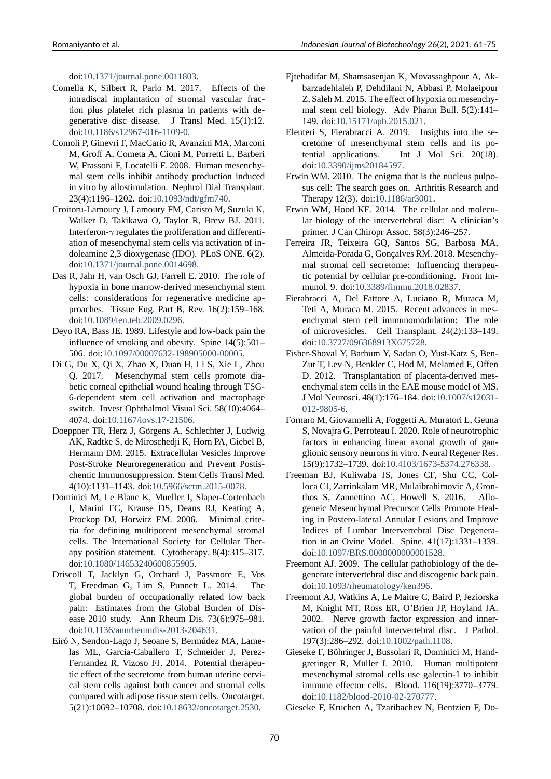doi:10.1371/journal.pone.0011803.

- Comella K, Silbert R, Parlo M. 2017. Effects of the intradiscal implantation of stromal vascular fraction plus platelet rich plasma in patients with degen[erative disc disease. J Tran](https://doi.org/10.1371/journal.pone.0011803)sl Med. 15(1):12. doi:10.1186/s12967-016-1109-0.
- <span id="page-9-10"></span>Comoli P, Ginevri F, MacCario R, Avanzini MA, Marconi M, Groff A, Cometa A, Cioni M, Porretti L, Barberi W, Frassoni F, Locatelli F. 2008. Human mesenchymal [stem cells inhibit antibody](https://doi.org/10.1186/s12967-016-1109-0) production induced in vitro by allostimulation. Nephrol Dial Transplant. 23(4):1196–1202. doi:10.1093/ndt/gfm740.
- <span id="page-9-9"></span>Croitoru-Lamoury J, Lamoury FM, Caristo M, Suzuki K, Walker D, Takikawa O, Taylor R, Brew BJ. 2011. Interferon-γ regulates the proliferation and differentiation of mesenchymal [stem cells via activat](https://doi.org/10.1093/ndt/gfm740)ion of indoleamine 2,3 dioxygenase (IDO). PLoS ONE. 6(2). doi:10.1371/journal.pone.0014698.
- <span id="page-9-20"></span>Das R, Jahr H, van Osch GJ, Farrell E. 2010. The role of hypoxia in bone marrow-derived mesenchymal stem cells: considerations for regenerative medicine appro[aches. Tissue Eng. Part B, Re](https://doi.org/10.1371/journal.pone.0014698)v. 16(2):159–168. doi:10.1089/ten.teb.2009.0296.
- <span id="page-9-18"></span>Deyo RA, Bass JE. 1989. Lifestyle and low-back pain the influence of smoking and obesity. Spine 14(5):501– 506. doi:10.1097/00007632-198905000-00005.
- <span id="page-9-5"></span>Di G, [Du X, Qi X, Zhao X, Duan](https://doi.org/10.1089/ten.teb.2009.0296) H, Li S, Xie L, Zhou Q. 2017. Mesenchymal stem cells promote diabetic corneal epithelial wound healing through TSG-6depen[dent stem cell activation and macrop](https://doi.org/10.1097/00007632-198905000-00005)hage switch. Invest Ophthalmol Visual Sci. 58(10):4064– 4074. doi:10.1167/iovs.17-21506.
- <span id="page-9-12"></span>Doeppner TR, Herz J, Görgens A, Schlechter J, Ludwig AK, Radtke S, de Miroschedji K, Horn PA, Giebel B, Hermann DM. 2015. Extracellular Vesicles Improve Post-Stro[ke Neuroregeneration a](https://doi.org/10.1167/iovs.17-21506)nd Prevent Postischemic Immunosuppression. Stem Cells Transl Med. 4(10):1131-1143. doi:10.5966/sctm.2015-0078.
- <span id="page-9-16"></span>Dominici M, Le Blanc K, Mueller I, Slaper-Cortenbach I, Marini FC, Krause DS, Deans RJ, Keating A, Prockop DJ, Horwitz EM. 2006. Minimal criteria for defining mult[ipotent mesenchymal str](https://doi.org/10.5966/sctm.2015-0078)omal cells. The International Society for Cellular Therapy position statement. Cytotherapy. 8(4):315–317. doi:10.1080/14653240600855905.
- <span id="page-9-7"></span>Driscoll T, Jacklyn G, Orchard J, Passmore E, Vos T, Freedman G, Lim S, Punnett L. 2014. The global burden of occupationally related low back pai[n: Estimates from the Globa](https://doi.org/10.1080/14653240600855905)l Burden of Disease 2010 study. Ann Rheum Dis. 73(6):975–981. doi:10.1136/annrheumdis-2013-204631.
- <span id="page-9-15"></span><span id="page-9-0"></span>Eiró N, Sendon-Lago J, Seoane S, Bermúdez MA, Lamelas ML, Garcia-Caballero T, Schneider J, Perez-Fernandez R, Vizoso FJ. 2014. Potential therapeutic [effect of the secretome from human u](https://doi.org/10.1136/annrheumdis-2013-204631)terine cervical stem cells against both cancer and stromal cells compared with adipose tissue stem cells. Oncotarget. 5(21):10692–10708. doi:10.18632/oncotarget.2530.
- Ejtehadifar M, Shamsasenjan K, Movassaghpour A, Akbarzadehlaleh P, Dehdilani N, Abbasi P, Molaeipour Z, Saleh M. 2015. The effect of hypoxia on mesenchymal stem cell biology. Adv Pharm Bull. 5(2):141– 149. doi:10.15171/apb.2015.021.
- <span id="page-9-19"></span>Eleuteri S, Fierabracci A. 2019. Insights into the secretome of mesenchymal stem cells and its potential applications. Int J Mol Sci. 20(18). doi:10.3[390/ijms20184597.](https://doi.org/10.15171/apb.2015.021)
- <span id="page-9-11"></span>Erwin WM. 2010. The enigma that is the nucleus pulposus cell: The search goes on. Arthritis Research and Therapy 12(3). doi:10.1186/ar3001.
- <span id="page-9-2"></span>Erwin [WM, Hood KE. 2014.](https://doi.org/10.3390/ijms20184597) The cellular and molecular biology of the intervertebral disc: A clinician's primer. J Can Chiropr Assoc. 58(3):246–257.
- <span id="page-9-3"></span>Ferreira JR, Teixeira [GQ, Santos SG](https://doi.org/10.1186/ar3001), Barbosa MA, Almeida-Porada G, Gonçalves RM. 2018. Mesenchymal stromal cell secretome: Influencing therapeutic potential by cellular pre-conditioning. Front Immunol. 9. doi:10.3389/fimmu.2018.02837.
- <span id="page-9-17"></span>Fierabracci A, Del Fattore A, Luciano R, Muraca M, Teti A, Muraca M. 2015. Recent advances in mesenchymal stem cell immunomodulation: The role of microvesic[les. Cell Transplant. 24\(2\)](https://doi.org/10.3389/fimmu.2018.02837):133–149. doi:10.3727/096368913X675728.
- <span id="page-9-8"></span>Fisher-Shoval Y, Barhum Y, Sadan O, Yust-Katz S, Ben-Zur T, Lev N, Benkler C, Hod M, Melamed E, Offen D. 2012. Transplantation of placenta-derived mesenc[hymal stem cells in the EAE m](https://doi.org/10.3727/096368913X675728)ouse model of MS. J Mol Neurosci. 48(1):176–184. doi:10.1007/s12031 012-9805-6.
- Fornaro M, Giovannelli A, Foggetti A, Muratori L, Geuna S, Novajra G, Perroteau I. 2020. Role of neurotrophic factors in enhancing linear axonal [growth of gan](https://doi.org/10.1007/s12031-012-9805-6)[glionic sens](https://doi.org/10.1007/s12031-012-9805-6)ory neurons in vitro. Neural Regener Res. 15(9):1732-1739. doi:10.4103/1673-5374.276338.
- <span id="page-9-14"></span><span id="page-9-1"></span>Freeman BJ, Kuliwaba JS, Jones CF, Shu CC, Colloca CJ, Zarrinkalam MR, Mulaibrahimovic A, Gronthos S, Zannettino AC, Howell S. 2016. Allogeneic Mesenchymal [Precursor Cells Promote He](https://doi.org/10.4103/1673-5374.276338)aling in Postero-lateral Annular Lesions and Improve Indices of Lumbar Intervertebral Disc Degeneration in an Ovine Model. Spine. 41(17):1331–1339. doi:10.1097/BRS.0000000000001528.
- Freemont AJ. 2009. The cellular pathobiology of the degenerate intervertebral disc and discogenic back pain. doi:10.1093/rheumatology/ken396.
- <span id="page-9-4"></span>Freemo[nt AJ, Watkins A, Le Maitre C, Bai](https://doi.org/10.1097/BRS.0000000000001528)rd P, Jeziorska M, Knight MT, Ross ER, O'Brien JP, Hoyland JA. 2002. Nerve growth factor expression and innervati[on of the painful intervertebra](https://doi.org/10.1093/rheumatology/ken396)l disc. J Pathol. 197(3):286–292. doi:10.1002/path.1108.
- <span id="page-9-6"></span>Gieseke F, Böhringer J, Bussolari R, Dominici M, Handgretinger R, Müller I. 2010. Human multipotent mesenchymal stromal cells use galectin-1 to inhibit immune effector cell[s. Blood. 116\(19\)](https://doi.org/10.1002/path.1108):3770–3779. doi:10.1182/blood-2010-02-270777.
- <span id="page-9-13"></span>Gieseke F, Kruchen A, Tzaribachev N, Bentzien F, Do-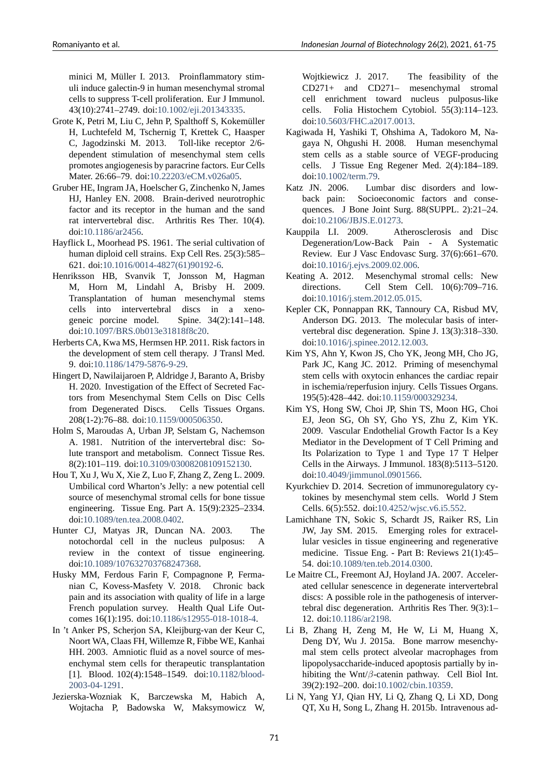minici M, Müller I. 2013. Proinflammatory stimuli induce galectin-9 in human mesenchymal stromal cells to suppress T-cell proliferation. Eur J Immunol. 43(10):2741–2749. doi:10.1002/eji.201343335.

- Grote K, Petri M, Liu C, Jehn P, Spalthoff S, Kokemüller H, Luchtefeld M, Tschernig T, Krettek C, Haasper C, Jagodzinski M. 2013. Toll-like receptor 2/6dependent stimulation [of mesenchymal stem](https://doi.org/10.1002/eji.201343335) cells promotes angiogenesis by paracrine factors. Eur Cells Mater. 26:66–79. doi:10.22203/eCM.v026a05.
- Gruber HE, Ingram JA, Hoelscher G, Zinchenko N, James HJ, Hanley EN. 2008. Brain-derived neurotrophic factor and its receptor in the human and the sand rat intervertebral dis[c. Arthritis Res Ther.](https://doi.org/10.22203/eCM.v026a05) 10(4). doi:10.1186/ar2456.
- Hayflick L, Moorhead PS. 1961. The serial cultivation of human diploid cell strains. Exp Cell Res. 25(3):585– 621. doi:10.1016/0014-4827(61)90192-6.
- <span id="page-10-6"></span>Henriks[son HB, Svan](https://doi.org/10.1186/ar2456)vik T, Jonsson M, Hagman M, Horn M, Lindahl A, Brisby H. 2009. Transplantation of human mesenchymal stems cells i[nto intervertebral discs in](https://doi.org/10.1016/0014-4827(61)90192-6) a xenogeneic porcine model. Spine. 34(2):141–148. doi:10.1097/BRS.0b013e31818f8c20.
- <span id="page-10-13"></span>Herberts CA, Kwa MS, Hermsen HP. 2011. Risk factors in the development of stem cell therapy. J Transl Med. 9. doi:10.1186/1479-5876-9-29.
- <span id="page-10-17"></span>Hingert [D, Nawilaijaroen P, Aldridge J, Ba](https://doi.org/10.1097/BRS.0b013e31818f8c20)ranto A, Brisby H. 2020. Investigation of the Effect of Secreted Factors from Mesenchymal Stem Cells on Disc Cells from [Degenerated Discs. Ce](https://doi.org/10.1186/1479-5876-9-29)lls Tissues Organs. 208(12):76–88. doi:10.1159/000506350.
- <span id="page-10-18"></span>Holm S, Maroudas A, Urban JP, Selstam G, Nachemson A. 1981. Nutrition of the intervertebral disc: Solute transport and metabolism. Connect Tissue Res. 8(2):101–119. doi:1[0.3109/03008208109](https://doi.org/10.1159/000506350)152130.
- <span id="page-10-4"></span>Hou T, Xu J, Wu X, Xie Z, Luo F, Zhang Z, Zeng L. 2009. Umbilical cord Wharton's Jelly: a new potential cell source of mesenchymal stromal cells for bone tissue engineering. Tiss[ue Eng. Part A. 15\(9\):2325–23](https://doi.org/10.3109/03008208109152130)34. doi:10.1089/ten.tea.2008.0402.
- <span id="page-10-11"></span>Hunter CJ, Matyas JR, Duncan NA. 2003. The notochordal cell in the nucleus pulposus: A review in the context of tissue engineering. doi[:10.1089/107632703768247](https://doi.org/10.1089/ten.tea.2008.0402)368.
- <span id="page-10-3"></span>Husky MM, Ferdous Farin F, Compagnone P, Fermanian C, Kovess-Masfety V. 2018. Chronic back pain and its association with quality of life in a large Fre[nch population survey. Health](https://doi.org/10.1089/107632703768247368) Qual Life Outcomes 16(1):195. doi:10.1186/s12955-018-1018-4.
- <span id="page-10-1"></span>In 't Anker PS, Scherjon SA, Kleijburg-van der Keur C, Noort WA, Claas FH, Willemze R, Fibbe WE, Kanhai HH. 2003. Amniotic fluid as a novel source of mesenchymal stem cells [for therapeutic transplantatio](https://doi.org/10.1186/s12955-018-1018-4)n [1]. Blood. 102(4):1548–1549. doi:10.1182/blood-2003-04-1291.
- <span id="page-10-10"></span><span id="page-10-9"></span>Jezierska-Wozniak K, Barczewska M, Habich A, Wojtacha P, Badowska W, Maksymowicz W,

Wojtkiewicz J. 2017. The feasibility of the CD271+ and CD271– mesenchymal stromal cell enrichment toward nucleus pulposus-like cells. Folia Histochem Cytobiol. 55(3):114–123. doi:10.5603/FHC.a2017.0013.

- Kagiwada H, Yashiki T, Ohshima A, Tadokoro M, Nagaya N, Ohgushi H. 2008. Human mesenchymal stem cells as a stable source of VEGF-producing cell[s. J Tissue Eng Regene](https://doi.org/10.5603/FHC.a2017.0013)r Med. 2(4):184–189. doi:10.1002/term.79.
- <span id="page-10-16"></span>Katz JN. 2006. Lumbar disc disorders and lowback pain: Socioeconomic factors and consequences. J Bone Joint Surg. 88(SUPPL. 2):21–24. doi[:10.2106/JBJS.E.](https://doi.org/10.1002/term.79)01273.
- <span id="page-10-0"></span>Kauppila LI. 2009. Atherosclerosis and Disc Degeneration/Low-Back Pain - A Systematic Review. Eur J Vasc Endovasc Surg. 37(6):661–670. doi[:10.1016/j.ejvs.2009.02.](https://doi.org/10.2106/JBJS.E.01273)006.
- <span id="page-10-5"></span>Keating A. 2012. Mesenchymal stromal cells: New directions. Cell Stem Cell. 10(6):709–716. doi:10.1016/j.stem.2012.05.015.
- <span id="page-10-12"></span>Kepler [CK, Ponnappan RK, Tanno](https://doi.org/10.1016/j.ejvs.2009.02.006)ury CA, Risbud MV, Anderson DG. 2013. The molecular basis of intervertebral disc degeneration. Spine J. 13(3):318–330. doi[:10.1016/j.spinee.2012.12.00](https://doi.org/10.1016/j.stem.2012.05.015)3.
- <span id="page-10-2"></span>Kim YS, Ahn Y, Kwon JS, Cho YK, Jeong MH, Cho JG, Park JC, Kang JC. 2012. Priming of mesenchymal stem cells with oxytocin enhances the cardiac repair ini[schemia/reperfusion injury. Ce](https://doi.org/10.1016/j.spinee.2012.12.003)lls Tissues Organs. 195(5):428–442. doi:10.1159/000329234.
- <span id="page-10-21"></span>Kim YS, Hong SW, Choi JP, Shin TS, Moon HG, Choi EJ, Jeon SG, Oh SY, Gho YS, Zhu Z, Kim YK. 2009. Vascular Endothelial Growth Factor Is a Key Mediator in the Dev[elopment of T Cell P](https://doi.org/10.1159/000329234)riming and Its Polarization to Type 1 and Type 17 T Helper Cells in the Airways. J Immunol. 183(8):5113–5120. doi:10.4049/jimmunol.0901566.
- <span id="page-10-8"></span>Kyurkchiev D. 2014. Secretion of immunoregulatory cytokines by mesenchymal stem cells. World J Stem Cells. 6(5):552. doi:10.4252/wjsc.v6.i5.552.
- <span id="page-10-14"></span>Lamich[hane TN, Sokic S, Schardt](https://doi.org/10.4049/jimmunol.0901566) JS, Raiker RS, Lin JW, Jay SM. 2015. Emerging roles for extracellular vesicles in tissue engineering and regenerative medicine. Tissue Eng. - Part B: Reviews 21(1):45-54. doi:10.1089/ten.teb.2014.0300.
- <span id="page-10-19"></span>Le Maitre CL, Freemont AJ, Hoyland JA. 2007. Accelerated cellular senescence in degenerate intervertebral discs: A possible role in the pathogenesis of intervertebral d[isc degeneration. Arthritis](https://doi.org/10.1089/ten.teb.2014.0300) Res Ther. 9(3):1– 12. doi:10.1186/ar2198.
- <span id="page-10-7"></span>Li B, Zhang H, Zeng M, He W, Li M, Huang X, Deng DY, Wu J. 2015a. Bone marrow mesenchymal stem cells protect alveolar macrophages from lipopolysaccharide-induced apoptosis partially by inhibiting the Wnt/*β*-catenin pathway. Cell Biol Int. 39(2):192–200. doi:10.1002/cbin.10359.
- <span id="page-10-20"></span><span id="page-10-15"></span>Li N, Yang YJ, Qian HY, Li Q, Zhang Q, Li XD, Dong QT, Xu H, Song L, Zhang H. 2015b. Intravenous ad-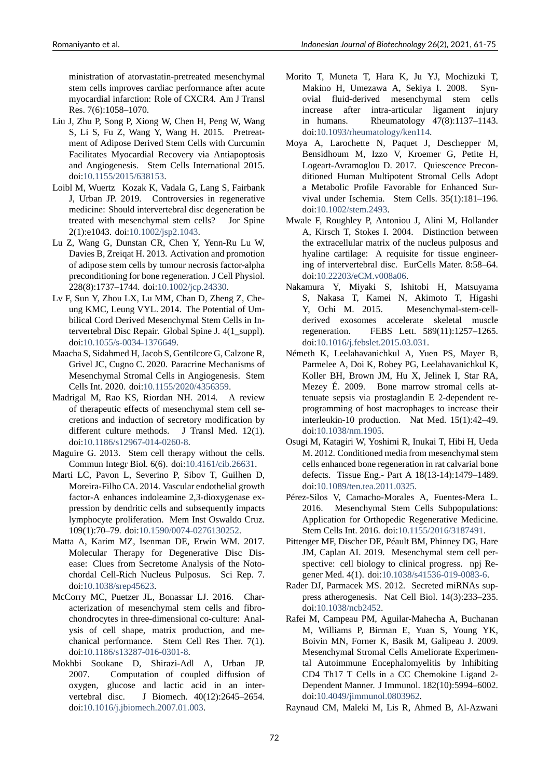ministration of atorvastatin-pretreated mesenchymal stem cells improves cardiac performance after acute myocardial infarction: Role of CXCR4. Am J Transl Res. 7(6):1058–1070.

- Liu J, Zhu P, Song P, Xiong W, Chen H, Peng W, Wang S, Li S, Fu Z, Wang Y, Wang H. 2015. Pretreatment of Adipose Derived Stem Cells with Curcumin Facilitates Myocardial Recovery via Antiapoptosis and Angiogenesis. Stem Cells International 2015. doi:10.1155/2015/638153.
- Loibl M, Wuertz Kozak K, Vadala G, Lang S, Fairbank J, Urban JP. 2019. Controversies in regenerative medicine: Should intervertebral disc degeneration be trea[ted with mesenchyma](https://doi.org/10.1155/2015/638153)l stem cells? Jor Spine 2(1):e1043. doi:10.1002/jsp2.1043.
- <span id="page-11-0"></span>Lu Z, Wang G, Dunstan CR, Chen Y, Yenn-Ru Lu W, Davies B, Zreiqat H. 2013. Activation and promotion of adipose stem cells by tumour necrosis factor-alpha preconditioning [for bone regenerati](https://doi.org/10.1002/jsp2.1043)on. J Cell Physiol. 228(8):1737–1744. doi:10.1002/jcp.24330.
- Lv F, Sun Y, Zhou LX, Lu MM, Chan D, Zheng Z, Cheung KMC, Leung VYL. 2014. The Potential of Umbilical Cord Derived Mesenchymal Stem Cells in Intervertebral Disc Repai[r. Global Spine J. 4](https://doi.org/10.1002/jcp.24330)(1\_suppl). doi:10.1055/s-0034-1376649.
- <span id="page-11-18"></span>Maacha S, Sidahmed H, Jacob S, Gentilcore G, Calzone R, Grivel JC, Cugno C. 2020. Paracrine Mechanisms of Mesenchymal Stromal Cells in Angiogenesis. Stem Cel[ls Int. 2020. doi:10.1155/2](https://doi.org/10.1055/s-0034-1376649)020/4356359.
- <span id="page-11-14"></span>Madrigal M, Rao KS, Riordan NH. 2014. A review of therapeutic effects of mesenchymal stem cell secretions and induction of secretory modification by different culture m[ethods. J Transl Me](https://doi.org/10.1155/2020/4356359)d. 12(1). doi:10.1186/s12967-014-0260-8.
- <span id="page-11-10"></span>Maguire G. 2013. Stem cell therapy without the cells. Commun Integr Biol. 6(6). doi:10.4161/cib.26631.
- <span id="page-11-9"></span>Marti LC, Pavon L, Severino P, Sibov T, Guilhen D, Moreira-Filho CA. 2014. Vascular endothelial growth factor-A enhances indoleamine 2,3-dioxygenase expression by dendritic cells and [subsequently impac](https://doi.org/10.4161/cib.26631)ts lymphocyte proliferation. Mem Inst Oswaldo Cruz. 109(1):70–79. doi:10.1590/00740276130252.
- Matta A, Karim MZ, Isenman DE, Erwin WM. 2017. Molecular Therapy for Degenerative Disc Disease: Clues from Secretome Analysis of the Noto-chordal Cell-Rich [Nucleus Pulposus. Sci R](https://doi.org/10.1590/0074-0276130252)ep. 7. doi:10.1038/srep45623.
- <span id="page-11-17"></span>McCorry MC, Puetzer JL, Bonassar LJ. 2016. Characterization of mesenchymal stem cells and fibrochondrocytes in three-dimensional co-culture: Analysi[s of cell shape, m](https://doi.org/10.1038/srep45623)atrix production, and mechanical performance. Stem Cell Res Ther. 7(1). doi:10.1186/s13287-016-0301-8.
- <span id="page-11-8"></span><span id="page-11-2"></span>Mokhbi Soukane D, Shirazi-Adl A, Urban JP. 2007. Computation of coupled diffusion of oxygen, glucose and lactic acid in an interver[tebral disc. J Biomech.](https://doi.org/10.1186/s13287-016-0301-8) 40(12):2645–2654. doi:10.1016/j.jbiomech.2007.01.003.
- Morito T, Muneta T, Hara K, Ju YJ, Mochizuki T, Makino H, Umezawa A, Sekiya I. 2008. Synovial fluid-derived mesenchymal stem cells increase after intra-articular ligament injury in humans. Rheumatology 47(8):1137–1143. doi:10.1093/rheumatology/ken114.
- <span id="page-11-5"></span>Moya A, Larochette N, Paquet J, Deschepper M, Bensidhoum M, Izzo V, Kroemer G, Petite H, Logeart-Avramoglou D. 2017. Quiescence Preconditi[oned Human Multipotent Stro](https://doi.org/10.1093/rheumatology/ken114)mal Cells Adopt a Metabolic Profile Favorable for Enhanced Survival under Ischemia. Stem Cells. 35(1):181–196. doi:10.1002/stem.2493.
- <span id="page-11-7"></span>Mwale F, Roughley P, Antoniou J, Alini M, Hollander A, Kirsch T, Stokes I. 2004. Distinction between the extracellular matrix of the nucleus pulposus and hya[line cartilage: A r](https://doi.org/10.1002/stem.2493)equisite for tissue engineering of intervertebral disc. EurCells Mater. 8:58–64. doi:10.22203/eCM.v008a06.
- <span id="page-11-1"></span>Nakamura Y, Miyaki S, Ishitobi H, Matsuyama S, Nakasa T, Kamei N, Akimoto T, Higashi Y, Ochi M. 2015. Mesenchymal-stem-cellder[ived exosomes accele](https://doi.org/10.22203/eCM.v008a06)rate skeletal muscle regeneration. FEBS Lett. 589(11):1257–1265. doi:10.1016/j.febslet.2015.03.031.
- <span id="page-11-16"></span><span id="page-11-12"></span>Németh K, Leelahavanichkul A, Yuen PS, Mayer B, Parmelee A, Doi K, Robey PG, Leelahavanichkul K, Koller BH, Brown JM, Hu X, Jelinek I, Star RA, Me[zey É. 2009. Bone marrow](https://doi.org/10.1016/j.febslet.2015.03.031) stromal cells attenuate sepsis via prostaglandin E 2-dependent reprogramming of host macrophages to increase their interleukin-10 production. Nat Med. 15(1):42-49. doi:10.1038/nm.1905.
- Osugi M, Katagiri W, Yoshimi R, Inukai T, Hibi H, Ueda M. 2012. Conditioned media from mesenchymal stem cells enhanced bone regeneration in rat calvarial bone def[ects. Tissue Eng.](https://doi.org/10.1038/nm.1905)- Part A 18(13-14):1479-1489. doi:10.1089/ten.tea.2011.0325.
- <span id="page-11-11"></span>Pérez-Silos V, Camacho-Morales A, Fuentes-Mera L. 2016. Mesenchymal Stem Cells Subpopulations: Application for Orthopedic Regenerative Medicine. Ste[m Cells Int. 2016. doi:10.11](https://doi.org/10.1089/ten.tea.2011.0325)55/2016/3187491.
- <span id="page-11-3"></span>Pittenger MF, Discher DE, Péault BM, Phinney DG, Hare JM, Caplan AI. 2019. Mesenchymal stem cell perspective: cell biology to clinical progress. npj Regener Med. 4(1). doi:10.1038/s41536-019-0083-6.
- <span id="page-11-4"></span>Rader DJ, Parmacek MS. 2012. Secreted miRNAs suppress atherogenesis. Nat Cell Biol. 14(3):233–235. doi:10.1038/ncb2452.
- <span id="page-11-15"></span><span id="page-11-13"></span>Rafei M, Campeau PM, Aguilar-Mahecha A, Buchanan M, Williams P, Birman E, Yuan S, Young YK, Boivin MN, Forner K, Basik M, Galipeau J. 2009. Me[senchymal Stroma](https://doi.org/10.1038/ncb2452)l Cells Ameliorate Experimental Autoimmune Encephalomyelitis by Inhibiting CD4 Th17 T Cells in a CC Chemokine Ligand 2 Dependent Manner. J Immunol. 182(10):5994–6002. doi:10.4049/jimmunol.0803962.

<span id="page-11-6"></span>Raynaud CM, Maleki M, Lis R, Ahmed B, Al-Azwani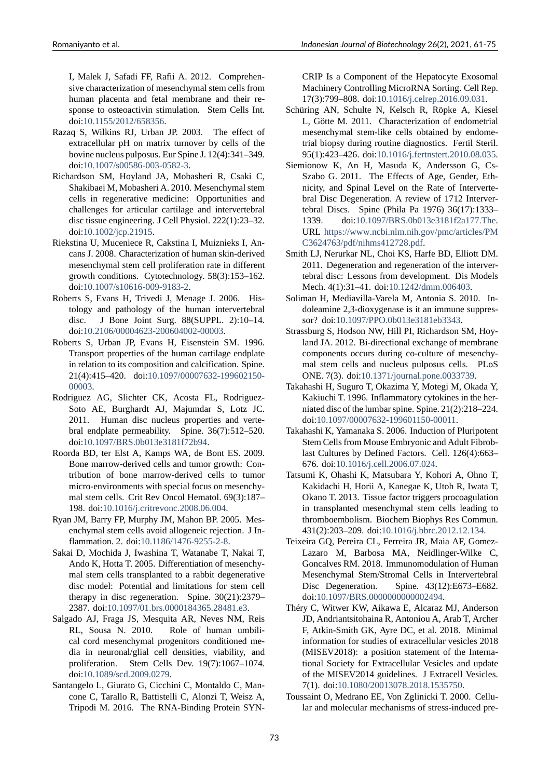I, Malek J, Safadi FF, Rafii A. 2012. Comprehensive characterization of mesenchymal stem cells from human placenta and fetal membrane and their response to osteoactivin stimulation. Stem Cells Int. doi:10.1155/2012/658356.

- Razaq S, Wilkins RJ, Urban JP. 2003. The effect of extracellular pH on matrix turnover by cells of the bovine nucleus pulposus. Eur Spine J. 12(4):341–349. doi:10.1007/s00586-003-0582-3.
- <span id="page-12-3"></span>Richardson SM, Hoyland JA, Mobasheri R, Csaki C, Shakibaei M, Mobasheri A. 2010. Mesenchymal stem cells in regenerative medicine: Opportunities and cha[llenges for articular cartilag](https://doi.org/10.1007/s00586-003-0582-3)e and intervertebral disc tissue engineering. J Cell Physiol. 222(1):23–32. doi:10.1002/jcp.21915.
- <span id="page-12-7"></span>Riekstina U, Muceniece R, Cakstina I, Muiznieks I, Ancans J. 2008. Characterization of human skin-derived mesenchymal stem cell proliferation rate in different gro[wth conditions. Cy](https://doi.org/10.1002/jcp.21915)totechnology. 58(3):153–162. doi:10.1007/s10616-009-9183-2.
- <span id="page-12-8"></span>Roberts S, Evans H, Trivedi J, Menage J. 2006. Histology and pathology of the human intervertebral disc. J Bone Joint Surg. 88(SUPPL. 2):10–14. doi:10.2106/00004623-200604002-00003.
- <span id="page-12-1"></span>Roberts S, Urban JP, Evans H, Eisenstein SM. 1996. Transport properties of the human cartilage endplate in relation to its composition and calcification. Spine. 21(4):415-420. doi:10.1097/00007632-199602150-00003.
- <span id="page-12-4"></span>Rodriguez AG, Slichter CK, Acosta FL, Rodriguez-Soto AE, Burghardt AJ, Majumdar S, Lotz JC. 2011. Human disc [nucleus properties and verte](https://doi.org/10.1097/00007632-199602150-00003)[bral en](https://doi.org/10.1097/00007632-199602150-00003)dplate permeability. Spine. 36(7):512–520. doi:10.1097/BRS.0b013e3181f72b94.
- <span id="page-12-2"></span>Roorda BD, ter Elst A, Kamps WA, de Bont ES. 2009. Bone marrow-derived cells and tumor growth: Contribution of bone marrow-derived cells to tumor micro-environments with special focus on mesenchymal stem cells. Crit Rev Oncol Hematol. 69(3):187– 198. doi:10.1016/j.critrevonc.2008.06.004.
- <span id="page-12-14"></span>Ryan JM, Barry FP, Murphy JM, Mahon BP. 2005. Mesenchymal stem cells avoid allogeneic rejection. J Inflammation. 2. doi:10.1186/1476-9255-2-8.
- Sakai D, Mo[chida J, Iwashina T, Watanabe T](https://doi.org/10.1016/j.critrevonc.2008.06.004), Nakai T, Ando K, Hotta T. 2005. Differentiation of mesenchymal stem cells transplanted to a rabbit degenerative disc model: Poten[tial and limitations for](https://doi.org/10.1186/1476-9255-2-8) stem cell therapy in disc regeneration. Spine. 30(21):2379– 2387. doi:10.1097/01.brs.0000184365.28481.e3.
- <span id="page-12-10"></span>Salgado AJ, Fraga JS, Mesquita AR, Neves NM, Reis RL, Sousa N. 2010. Role of human umbilical cord mesenchymal progenitors conditioned media in ne[uronal/glial cell densities, viability,](https://doi.org/10.1097/01.brs.0000184365.28481.e3) and proliferation. Stem Cells Dev. 19(7):1067–1074. doi:10.1089/scd.2009.0279.
- <span id="page-12-13"></span>Santangelo L, Giurato G, Cicchini C, Montaldo C, Mancone C, Tarallo R, Battistelli C, Alonzi T, Weisz A, Tripodi M. 2016. The RNA-Binding Protein SYN-

CRIP Is a Component of the Hepatocyte Exosomal Machinery Controlling MicroRNA Sorting. Cell Rep. 17(3):799–808. doi:10.1016/j.celrep.2016.09.031.

- Schüring AN, Schulte N, Kelsch R, Röpke A, Kiesel L, Götte M. 2011. Characterization of endometrial mesenchymal stem-like cells obtained by endometrial biopsy during [routine diagnostics. Fertil Ste](https://doi.org/10.1016/j.celrep.2016.09.031)ril. 95(1):423–426. doi:10.1016/j.fertnstert.2010.08.035.
- <span id="page-12-9"></span><span id="page-12-0"></span>Siemionow K, An H, Masuda K, Andersson G, Cs-Szabo G. 2011. The Effects of Age, Gender, Ethnicity, and Spinal Level on the Rate of Intervertebral Disc Degenera[tion. A review of 1712 Interver](https://doi.org/10.1016/j.fertnstert.2010.08.035)tebral Discs. Spine (Phila Pa 1976) 36(17):1333– 1339. doi:10.1097/BRS.0b013e3181f2a177.The. URL https://www.ncbi.nlm.nih.gov/pmc/articles/PM C3624763/pdf/nihms412728.pdf.
- Smith LJ, Nerurkar NL, Choi KS, Harfe BD, Elliott DM. 2011. Degene[ration and regeneration of the interver](https://doi.org/10.1097/BRS.0b013e3181f2a177.The)tebral [disc: Lessons from development. Dis Models](https://www.ncbi.nlm.nih.gov/pmc/articles/PMC3624763/pdf/nihms412728.pdf) [Mech. 4\(1\):31–41. doi:10.1242/d](https://www.ncbi.nlm.nih.gov/pmc/articles/PMC3624763/pdf/nihms412728.pdf)mm.006403.
- <span id="page-12-11"></span>Soliman H, Mediavilla-Varela M, Antonia S. 2010. Indoleamine 2,3-dioxygenase is it an immune suppressor? doi:10.1097/PPO.0b013e3181eb3343.
- Strassburg S, Hodson NW, [Hill PI, Richardson SM](https://doi.org/10.1242/dmm.006403), Hoyland JA. 2012. Bi-directional exchange of membrane components occurs during co-culture of mesenchymal ste[m cells and nucleus pulposus cell](https://doi.org/10.1097/PPO.0b013e3181eb3343)s. PLoS ONE. 7(3). doi:10.1371/journal.pone.0033739.
- <span id="page-12-16"></span>Takahashi H, Suguro T, Okazima Y, Motegi M, Okada Y, Kakiuchi T. 1996. Inflammatory cytokines in the herniated disc of the lumbar spine. Spine. 21(2):218–224. doi:10.1097/00007632-199601150-00011.
- <span id="page-12-5"></span>Takahashi K, Yamanaka S. 2006. Induction of Pluripotent Stem Cells from Mouse Embryonic and Adult Fibroblast Cultures by Defined Factors. Cell. 126(4):663– 676[. doi:10.1016/j.cell.2006.07.024.](https://doi.org/10.1097/00007632-199601150-00011)
- <span id="page-12-6"></span>Tatsumi K, Ohashi K, Matsubara Y, Kohori A, Ohno T, Kakidachi H, Horii A, Kanegae K, Utoh R, Iwata T, Okano T. 2013. Tissue factor triggers procoagulation in transp[lanted mesenchymal stem](https://doi.org/10.1016/j.cell.2006.07.024) cells leading to thromboembolism. Biochem Biophys Res Commun. 431(2):203–209. doi:10.1016/j.bbrc.2012.12.134.
- <span id="page-12-12"></span>Teixeira GQ, Pereira CL, Ferreira JR, Maia AF, Gomez-Lazaro M, Barbosa MA, Neidlinger-Wilke C, Goncalves RM. 2018. Immunomodulation of Human Mesenchymal Stem/[Stromal Cells in Interverte](https://doi.org/10.1016/j.bbrc.2012.12.134)bral Disc Degeneration. Spine. 43(12):E673–E682. doi:10.1097/BRS.0000000000002494.
- <span id="page-12-17"></span><span id="page-12-15"></span>Théry C, Witwer KW, Aikawa E, Alcaraz MJ, Anderson JD, Andriantsitohaina R, Antoniou A, Arab T, Archer F, Atkin-Smith GK, Ayre DC, et al. 2018. Minimal inf[ormation for studies of extracellular](https://doi.org/10.1097/BRS.0000000000002494) vesicles 2018 (MISEV2018): a position statement of the International Society for Extracellular Vesicles and update of the MISEV2014 guidelines. J Extracell Vesicles. 7(1). doi:10.1080/20013078.2018.1535750.
- Toussaint O, Medrano EE, Von Zglinicki T. 2000. Cellular and molecular mechanisms of stress-induced pre-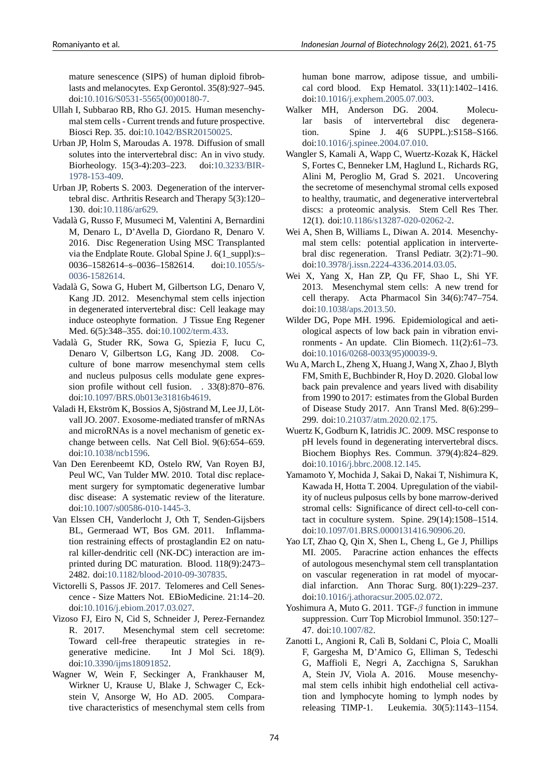mature senescence (SIPS) of human diploid fibroblasts and melanocytes. Exp Gerontol. 35(8):927–945. doi:10.1016/S0531-5565(00)00180-7.

- Ullah I, Subbarao RB, Rho GJ. 2015. Human mesenchymal stem cells - Current trends and future prospective. Biosci Rep. 35. doi:10.1042/BSR20150025.
- <span id="page-13-11"></span>Urban J[P, Holm S, Maroudas A. 1978. Dif](https://doi.org/10.1016/S0531-5565(00)00180-7)fusion of small solutes into the intervertebral disc: An in vivo study. Biorheology. 15(34):203–223. doi:10.3233/BIR-1978-153-409.
- <span id="page-13-7"></span>Urban JP, Roberts S. 20[03. Degeneration of the](https://doi.org/10.1042/BSR20150025) intervertebral disc. Arthritis Research and Therapy 5(3):120– 130. doi:10.1186/ar629.
- <span id="page-13-5"></span>Vad[alà G, Russo F,](https://doi.org/10.3233/BIR-1978-153-409) Musumeci M, Valentini [A, Bernardini](https://doi.org/10.3233/BIR-1978-153-409) M, Denaro L, D'Avella D, Giordano R, Denaro V. 2016. Disc Regeneration Using MSC Transplanted via the E[ndplate Route.](https://doi.org/10.1186/ar629) Global Spine J. 6(1\_suppl):s– 0036–1582614–s–0036–1582614. doi:10.1055/s-0036-1582614.
- <span id="page-13-1"></span>Vadalà G, Sowa G, Hubert M, Gilbertson LG, Denaro V, Kang JD. 2012. Mesenchymal stem cells injection in degenerated intervertebral disc: Cell le[akage may](https://doi.org/10.1055/s-0036-1582614) [induce osteoph](https://doi.org/10.1055/s-0036-1582614)yte formation. J Tissue Eng Regener Med. 6(5):348–355. doi:10.1002/term.433.
- <span id="page-13-15"></span>Vadalà G, Studer RK, Sowa G, Spiezia F, Iucu C, Denaro V, Gilbertson LG, Kang JD. 2008. Coculture of bone marrow mesenchymal stem cells and nucleus pulposus c[ells modulate gen](https://doi.org/10.1002/term.433)e expression profile without cell fusion. . 33(8):870–876. doi:10.1097/BRS.0b013e31816b4619.
- <span id="page-13-13"></span>Valadi H, Ekström K, Bossios A, Sjöstrand M, Lee JJ, Lötvall JO. 2007. Exosome-mediated transfer of mRNAs and microRNAs is a novel mechanism of genetic excha[nge between cells. Nat Cell Biol.](https://doi.org/10.1097/BRS.0b013e31816b4619) 9(6):654–659. doi:10.1038/ncb1596.
- <span id="page-13-20"></span>Van Den Eerenbeemt KD, Ostelo RW, Van Royen BJ, Peul WC, Van Tulder MW. 2010. Total disc replacement surgery for symptomatic degenerative lumbar dis[c disease: A syste](https://doi.org/10.1038/ncb1596)matic review of the literature. doi:10.1007/s00586-010-1445-3.
- <span id="page-13-3"></span>Van Elssen CH, Vanderlocht J, Oth T, Senden-Gijsbers BL, Germeraad WT, Bos GM. 2011. Inflammation restraining effects of prostaglandin E2 on natural killer-dendritic cell (NK-DC) interaction are imprinted during DC maturation. Blood. 118(9):2473– 2482. doi:10.1182/blood-2010-09-307835.
- <span id="page-13-18"></span>Victorelli S, Passos JF. 2017. Telomeres and Cell Senescence Size Matters Not. EBioMedicine. 21:14–20. doi:10.1016/j.ebiom.2017.03.027.
- <span id="page-13-9"></span>Vizoso FJ, Eir[o N, Cid S, Schneider J, Perez](https://doi.org/10.1182/blood-2010-09-307835)-Fernandez R. 2017. Mesenchymal stem cell secretome: Toward cell-free therapeutic strategies in regen[erative medicine. Int J](https://doi.org/10.1016/j.ebiom.2017.03.027) Mol Sci. 18(9). doi:10.3390/ijms18091852.
- <span id="page-13-12"></span><span id="page-13-4"></span>Wagner W, Wein F, Seckinger A, Frankhauser M, Wirkner U, Krause U, Blake J, Schwager C, Eckstein V, Ansorge W, Ho AD. 2005. Comparative [characteristics of mese](https://doi.org/10.3390/ijms18091852)nchymal stem cells from

human bone marrow, adipose tissue, and umbilical cord blood. Exp Hematol. 33(11):1402–1416. doi:10.1016/j.exphem.2005.07.003.

- Walker MH, Anderson DG. 2004. Molecular basis of intervertebral disc degeneration. Spine J. 4(6 SUPPL.):S158–S166. doi[:10.1016/j.spinee.2004.07.010.](https://doi.org/10.1016/j.exphem.2005.07.003)
- <span id="page-13-6"></span>Wangler S, Kamali A, Wapp C, Wuertz-Kozak K, Häckel S, Fortes C, Benneker LM, Haglund L, Richards RG, Alini M, Peroglio M, Grad S. 2021. Uncovering the [secretome of mesenchymal str](https://doi.org/10.1016/j.spinee.2004.07.010)omal cells exposed to healthy, traumatic, and degenerative intervertebral discs: a proteomic analysis. Stem Cell Res Ther. 12(1). doi:10.1186/s13287-020-02062-2.
- <span id="page-13-21"></span>Wei A, Shen B, Williams L, Diwan A. 2014. Mesenchymal stem cells: potential application in intervertebral disc regeneration. Transl Pediatr. 3(2):71–90. doi:10.397[8/j.issn.22244336.2014.03.05](https://doi.org/10.1186/s13287-020-02062-2).
- <span id="page-13-2"></span>Wei X, Yang X, Han ZP, Qu FF, Shao L, Shi YF. 2013. Mesenchymal stem cells: A new trend for cell therapy. Acta Pharmacol Sin 34(6):747–754. doi[:10.1038/aps.2013.50.](https://doi.org/10.3978/j.issn.2224-4336.2014.03.05)
- <span id="page-13-10"></span>Wilder DG, Pope MH. 1996. Epidemiological and aetiological aspects of low back pain in vibration environments - An update. Clin Biomech. 11(2):61-73. doi:10.1016/0268-0033(95)00039-9.
- <span id="page-13-8"></span>Wu A, March L, Zheng X, Huang J, Wang X, Zhao J, Blyth FM, Smith E, Buchbinder R, Hoy D. 2020. Global low back pain prevalence and years lived with disability fro[m 1990 to 2017: estimates from th](https://doi.org/10.1016/0268-0033(95)00039-9)e Global Burden of Disease Study 2017. Ann Transl Med. 8(6):299– 299. doi:10.21037/atm.2020.02.175.
- <span id="page-13-0"></span>Wuertz K, Godburn K, Iatridis JC. 2009. MSC response to pH levels found in degenerating intervertebral discs. Biochem Biophys Res. Commun. 379(4):824–829. doi:10.1[016/j.bbrc.2008.12.145.](https://doi.org/10.21037/atm.2020.02.175)
- <span id="page-13-16"></span>Yamamoto Y, Mochida J, Sakai D, Nakai T, Nishimura K, Kawada H, Hotta T. 2004. Upregulation of the viability of nucleus pulposus cells by bone marrow-derived stro[mal cells: Significance of d](https://doi.org/10.1016/j.bbrc.2008.12.145)irect cell-to-cell contact in coculture system. Spine. 29(14):1508–1514. doi:10.1097/01.BRS.0000131416.90906.20.
- <span id="page-13-14"></span>Yao LT, Zhao Q, Qin X, Shen L, Cheng L, Ge J, Phillips MI. 2005. Paracrine action enhances the effects of autologous mesenchymal stem cell transplantation on [vascular regeneration in rat model of](https://doi.org/10.1097/01.BRS.0000131416.90906.20) myocardial infarction. Ann Thorac Surg. 80(1):229–237. doi:10.1016/j.athoracsur.2005.02.072.
- Yoshimura A, Muto G. 2011. TGF*β* function in immune suppression. Curr Top Microbiol Immunol. 350:127– 47. doi:10.1007/82.
- <span id="page-13-19"></span><span id="page-13-17"></span>Zanotti [L, Angioni R, Calì B, Soldani C,](https://doi.org/10.1016/j.athoracsur.2005.02.072) Ploia C, Moalli F, Gargesha M, D'Amico G, Elliman S, Tedeschi G, Maffioli E, Negri A, Zacchigna S, Sarukhan A, Stei[n JV, Viola](https://doi.org/10.1007/82) A. 2016. Mouse mesenchymal stem cells inhibit high endothelial cell activation and lymphocyte homing to lymph nodes by releasing TIMP-1. Leukemia. 30(5):1143-1154.